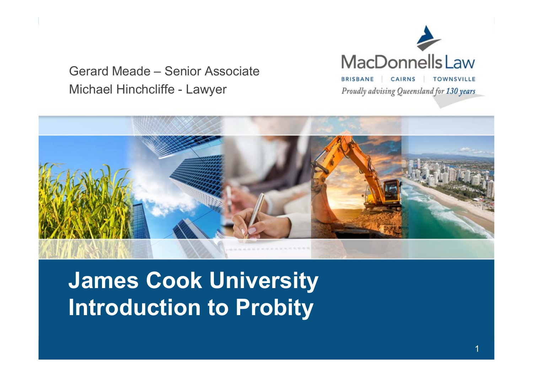

Gerard Meade – Senior Associate Michael Hinchcliffe - Lawyer

**RRISBANE TOWNSVILLE** CAIRNS Proudly advising Queensland for 130 years



**James Cook University Introduction to Probity**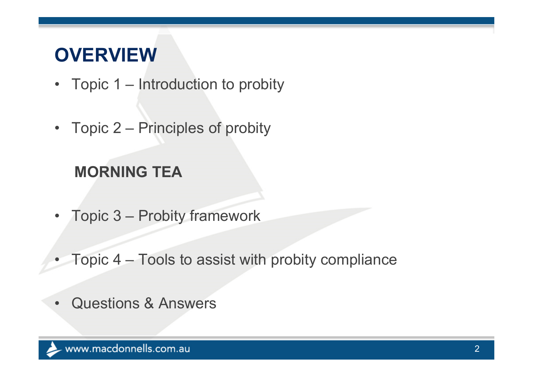# **OVERVIEW**

- Topic 1 Introduction to probity
- Topic 2 Principles of probity

#### **MORNING TEA**

- $\bullet$ Topic 3 – Probity framework
- •Topic 4 – Tools to assist with probity compliance
- $\bullet$ Questions & Answers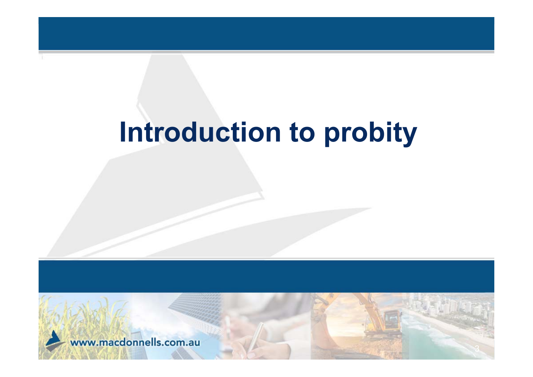# **Introduction to probity**

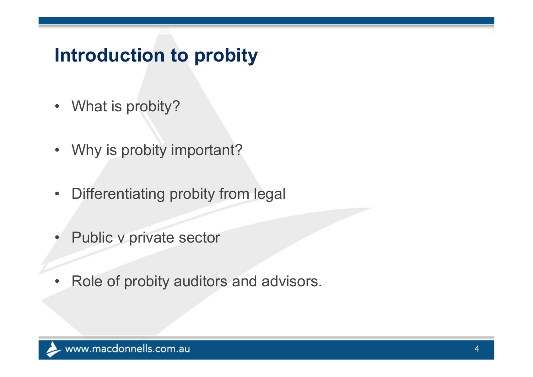# **Introduction to probity**

- What is probity?
- Why is probity important?
- •Differentiating probity from legal
- •Public v private sector
- $\bullet$ Role of probity auditors and advisors.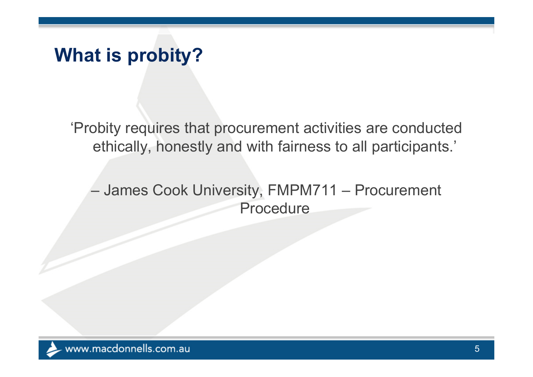'Probity requires that procurement activities are conducted ethically, honestly and with fairness to all participants.'

#### James Cook University, FMPM711 – Procurement **Procedure**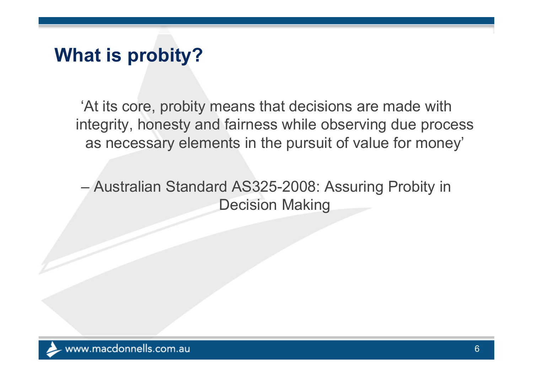'At its core, probity means that decisions are made with integrity, honesty and fairness while observing due process as necessary elements in the pursuit of value for money'

 $\mathcal{L}_{\mathcal{A}}$  Australian Standard AS325-2008: Assuring Probity in Decision Making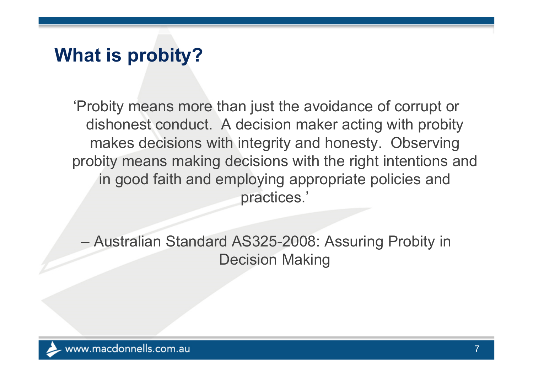'Probity means more than just the avoidance of corrupt or dishonest conduct. A decision maker acting with probity makes decisions with integrity and honesty. Observing probity means making decisions with the right intentions and in good faith and employing appropriate policies and practices.'

 Australian Standard AS325-2008: Assuring Probity in Decision Making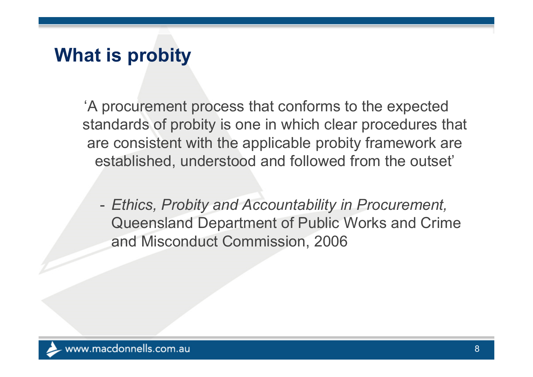'A procurement process that conforms to the expected standards of probity is one in which clear procedures that are consistent with the applicable probity framework are established, understood and followed from the outset'

- *Ethics, Probity and Accountability in Procurement,*  Queensland Department of Public Works and Crime and Misconduct Commission, 2006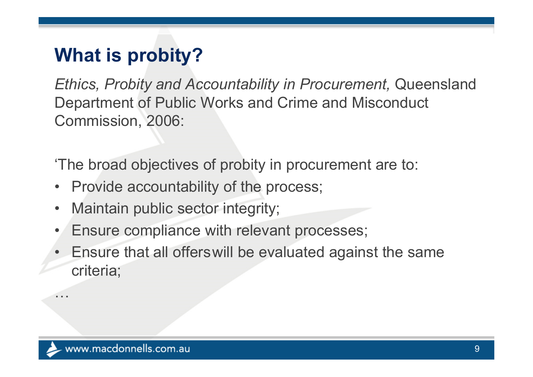*Ethics, Probity and Accountability in Procurement,* Queensland Department of Public Works and Crime and Misconduct Commission, 2006:

'The broad objectives of probity in procurement are to:

- $\bullet$ Provide accountability of the process;
- •Maintain public sector integrity;
- •Ensure compliance with relevant processes;
- Ensure that all offerswill be evaluated against the same criteria;

…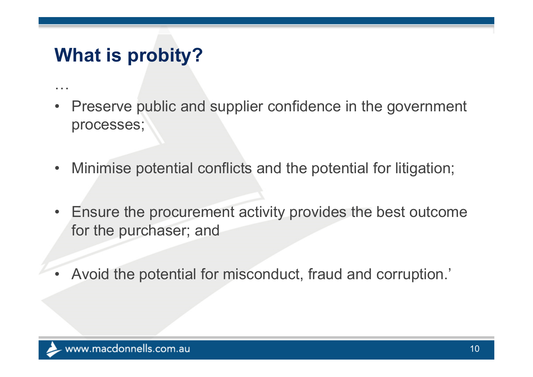…

- $\bullet$  Preserve public and supplier confidence in the government processes;
- $\bullet$  . Minimise potential conflicts and the potential for litigation;
- $\bullet$  Ensure the procurement activity provides the best outcome for the purchaser; and
- •Avoid the potential for misconduct, fraud and corruption.'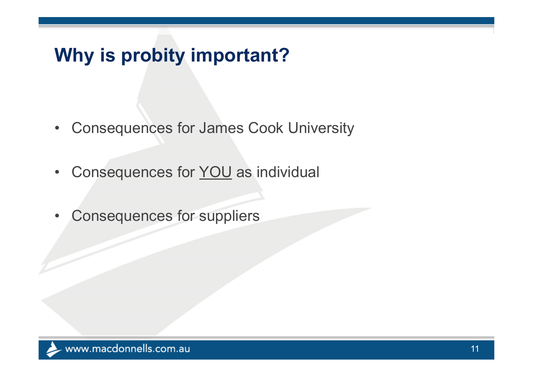#### **Why is probity important?**

- $\bullet$ Consequences for James Cook University
- $\bullet$ Consequences for YOU as individual
- $\bullet$ Consequences for suppliers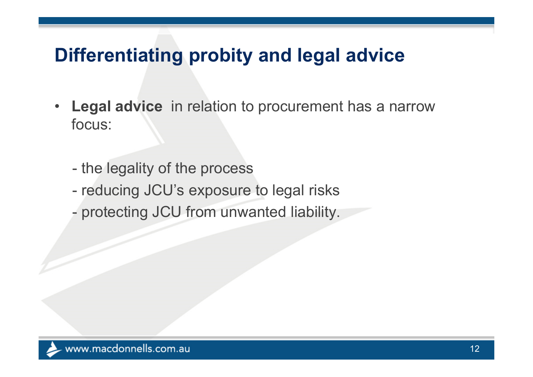#### **Differentiating probity and legal advice**

- $\bullet$  **Legal advice** in relation to procurement has a narrow focus:
	- the legality of the process
	- reducing JCU's exposure to legal risks
	- $\mathcal{L}_{\mathcal{A}}$ protecting JCU from unwanted liability.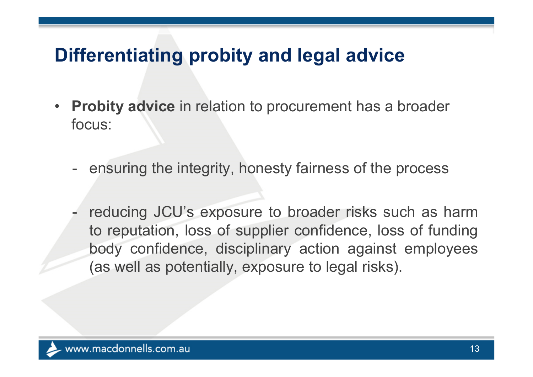#### **Differentiating probity and legal advice**

- • **Probity advice** in relation to procurement has a broader focus:
	- ensuring the integrity, honesty fairness of the process
	- $\mathcal{L}_{\mathcal{A}}$  reducing JCU's exposure to broader risks such as harm to reputation, loss of supplier confidence, loss of funding body confidence, disciplinary action against employees (as well as potentially, exposure to legal risks).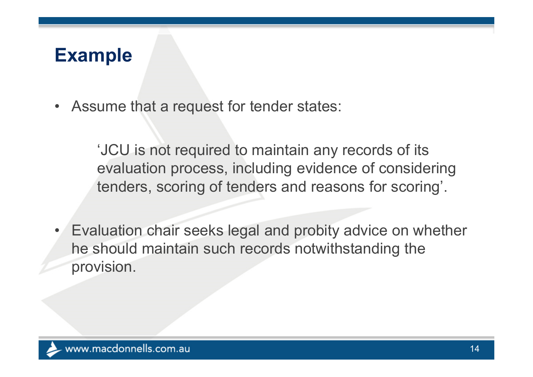• Assume that a request for tender states:

'JCU is not required to maintain any records of its evaluation process, including evidence of considering tenders, scoring of tenders and reasons for scoring'.

• Evaluation chair seeks legal and probity advice on whether he should maintain such records notwithstanding the provision.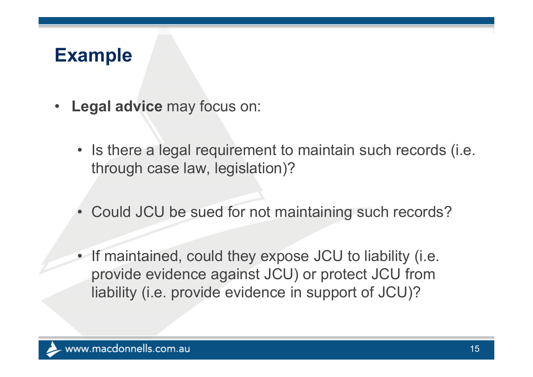- • **Legal advice** may focus on:
	- Is there a legal requirement to maintain such records (i.e. through case law, legislation)?
	- •Could JCU be sued for not maintaining such records?
	- • If maintained, could they expose JCU to liability (i.e. provide evidence against JCU) or protect JCU from liability (i.e. provide evidence in support of JCU)?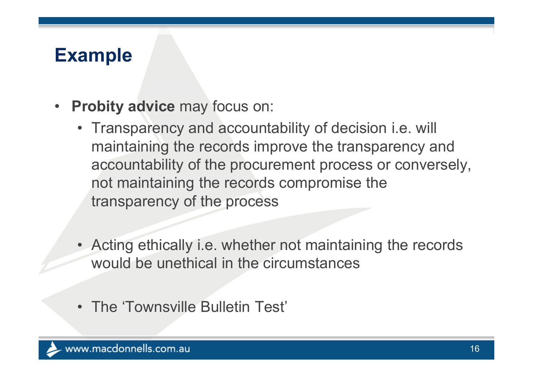- $\bullet$  **Probity advice** may focus on:
	- Transparency and accountability of decision i.e. will maintaining the records improve the transparency and accountability of the procurement process or conversely, not maintaining the records compromise the transparency of the process
	- Acting ethically i.e. whether not maintaining the records would be unethical in the circumstances
	- The 'Townsville Bulletin Test'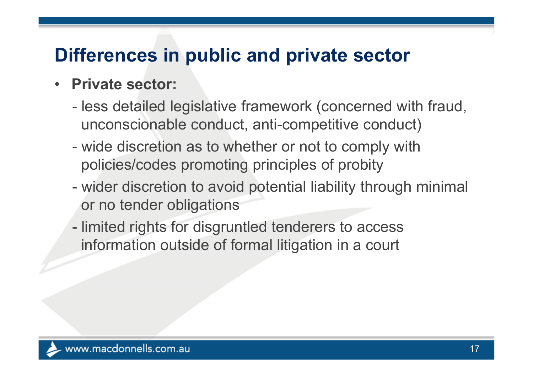#### **Differences in public and private sector**

- • **Private sector:**
	- less detailed legislative framework (concerned with fraud, unconscionable conduct, anti-competitive conduct)
	- wide discretion as to whether or not to comply with policies/codes promoting principles of probity
	- wider discretion to avoid potential liability through minimal or no tender obligations
	- limited rights for disgruntled tenderers to access information outside of formal litigation in a court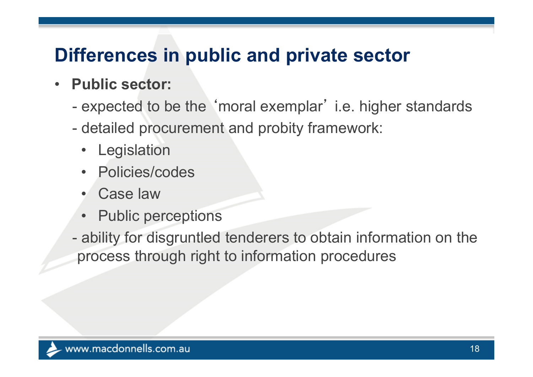#### **Differences in public and private sector**

- • **Public sector:**
	- $\mathcal{L}_{\mathcal{A}}$ expected to be the 'moral exemplar' i.e. higher standards
	- detailed procurement and probity framework:
		- $\bullet$ Legislation
		- •Policies/codes
		- •Case law
		- •Public perceptions
	- ability for disgruntled tenderers to obtain information on the process through right to information procedures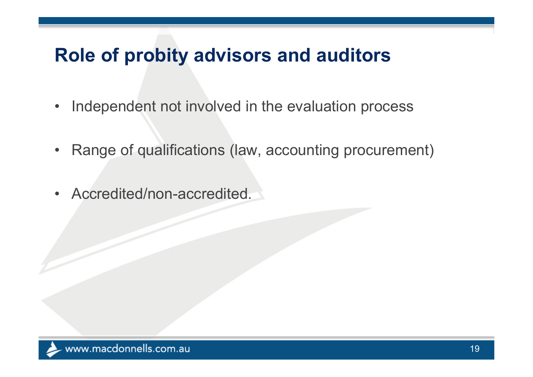- $\bullet$ Independent not involved in the evaluation process
- •Range of qualifications (law, accounting procurement)
- Accredited/non-accredited.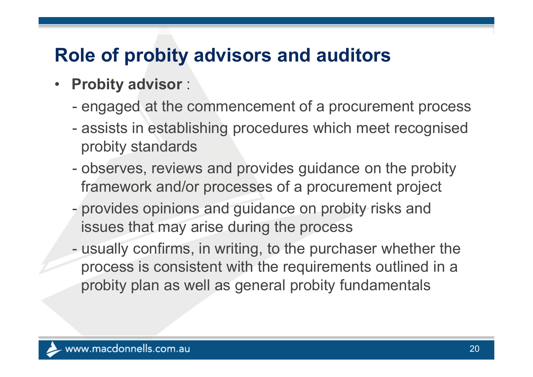- $\bullet$  **Probity advisor** :
	- engaged at the commencement of a procurement process
	- assists in establishing procedures which meet recognised probity standards
	- observes, reviews and provides guidance on the probity framework and/or processes of a procurement project
	- provides opinions and guidance on probity risks and issues that may arise during the process
	- usually confirms, in writing, to the purchaser whether the process is consistent with the requirements outlined in a probity plan as well as general probity fundamentals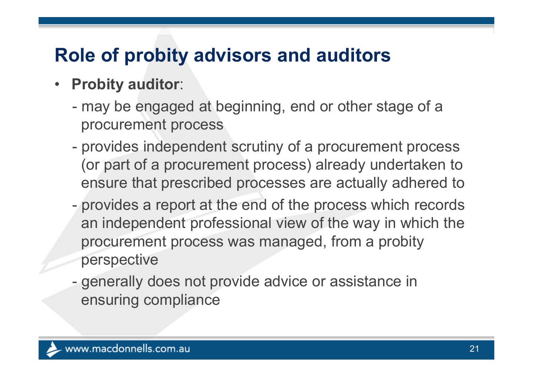- $\bullet$  **Probity auditor**:
	- may be engaged at beginning, end or other stage of a procurement process
	- provides independent scrutiny of a procurement process (or part of a procurement process) already undertaken to ensure that prescribed processes are actually adhered to
	- $\mathcal{L}_{\mathcal{A}}$  provides a report at the end of the process which records an independent professional view of the way in which the procurement process was managed, from a probity perspective
	- $\mathcal{L}_{\mathcal{A}}$  generally does not provide advice or assistance in ensuring compliance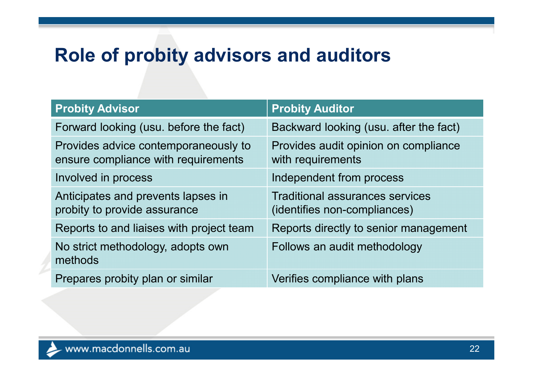| <b>Probity Advisor</b>                                                      | <b>Probity Auditor</b>                                                 |
|-----------------------------------------------------------------------------|------------------------------------------------------------------------|
| Forward looking (usu. before the fact)                                      | Backward looking (usu. after the fact)                                 |
| Provides advice contemporaneously to<br>ensure compliance with requirements | Provides audit opinion on compliance<br>with requirements              |
| Involved in process                                                         | Independent from process                                               |
| Anticipates and prevents lapses in<br>probity to provide assurance          | <b>Traditional assurances services</b><br>(identifies non-compliances) |
| Reports to and liaises with project team                                    | Reports directly to senior management                                  |
| No strict methodology, adopts own<br>methods                                | Follows an audit methodology                                           |
| Prepares probity plan or similar                                            | Verifies compliance with plans                                         |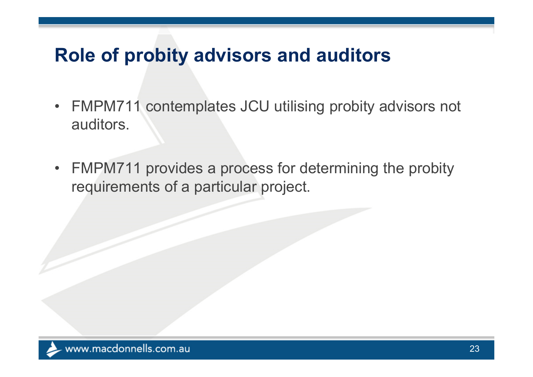- FMPM711 contemplates JCU utilising probity advisors not auditors.
- FMPM711 provides a process for determining the probity requirements of a particular project.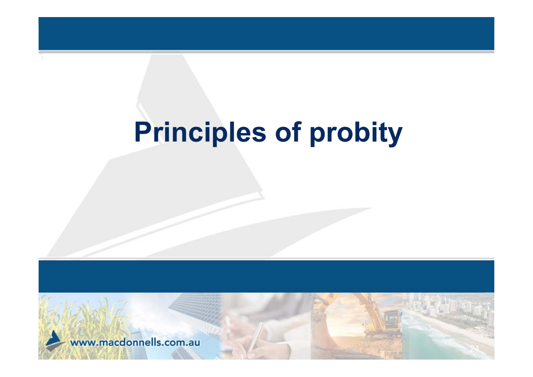# **Principles of probity**

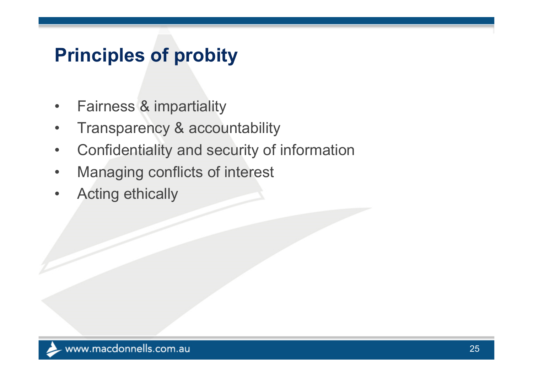# **Principles of probity**

- $\bullet$ Fairness & impartiality
- •Transparency & accountability
- $\bullet$ Confidentiality and security of information
- $\bullet$ Managing conflicts of interest
- $\bullet$ Acting ethically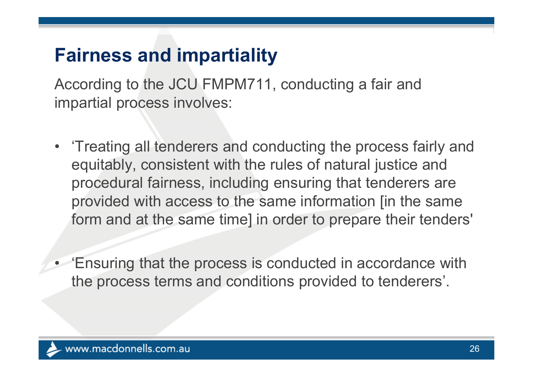According to the JCU FMPM711, conducting a fair and impartial process involves:

- 'Treating all tenderers and conducting the process fairly and equitably, consistent with the rules of natural justice and procedural fairness, including ensuring that tenderers are provided with access to the same information [in the same form and at the same time] in order to prepare their tenders'
- 'Ensuring that the process is conducted in accordance with the process terms and conditions provided to tenderers'.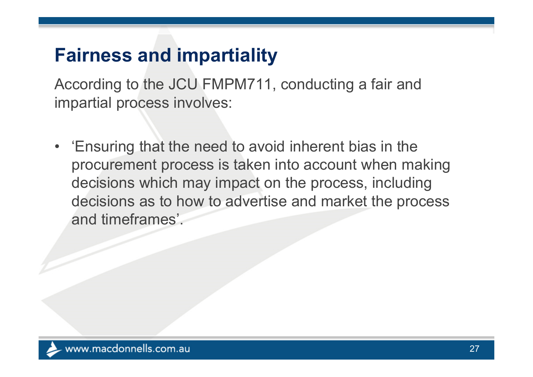According to the JCU FMPM711, conducting a fair and impartial process involves:

• 'Ensuring that the need to avoid inherent bias in the procurement process is taken into account when making decisions which may impact on the process, including decisions as to how to advertise and market the process and timeframes'.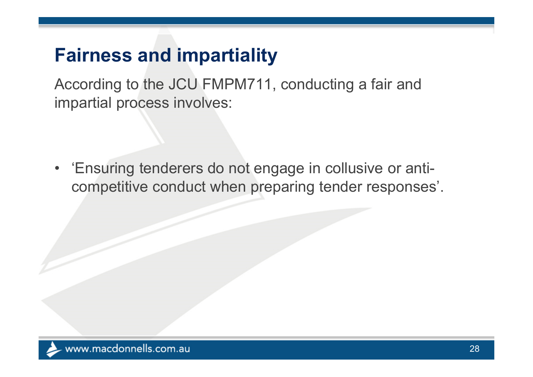According to the JCU FMPM711, conducting a fair and impartial process involves:

• 'Ensuring tenderers do not engage in collusive or anticompetitive conduct when preparing tender responses'.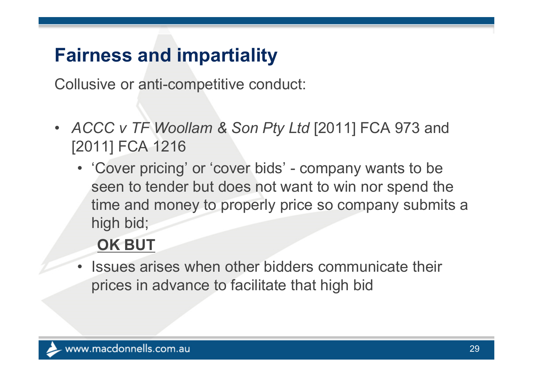Collusive or anti-competitive conduct:

- *ACCC v TF Woollam & Son Pty Ltd* [2011] FCA 973 and [2011] FCA 1216
	- 'Cover pricing' or 'cover bids' company wants to be seen to tender but does not want to win nor spend the time and money to properly price so company submits a high bid;

#### **OK BUT**

• Issues arises when other bidders communicate their prices in advance to facilitate that high bid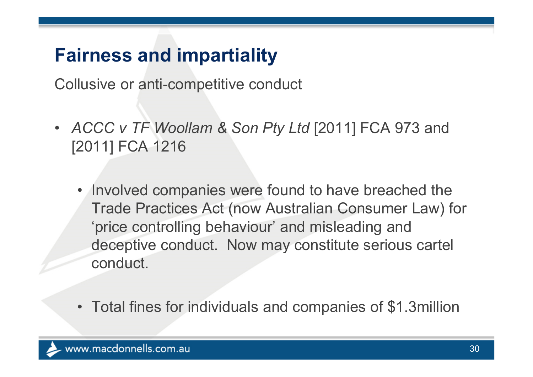Collusive or anti-competitive conduct

- *ACCC v TF Woollam & Son Pty Ltd* [2011] FCA 973 and [2011] FCA 1216
	- Involved companies were found to have breached the Trade Practices Act (now Australian Consumer Law) for 'price controlling behaviour' and misleading and deceptive conduct. Now may constitute serious cartel conduct.
	- Total fines for individuals and companies of \$1.3million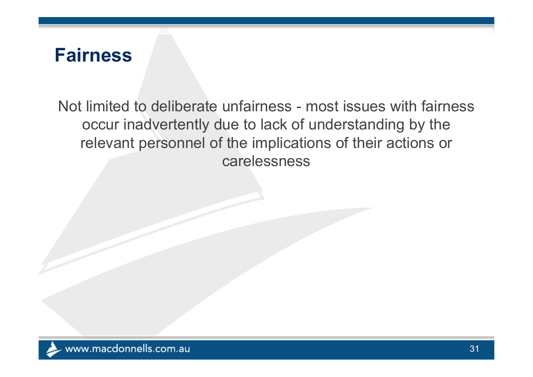#### **Fairness**

Not limited to deliberate unfairness - most issues with fairness occur inadvertently due to lack of understanding by the relevant personnel of the implications of their actions or carelessness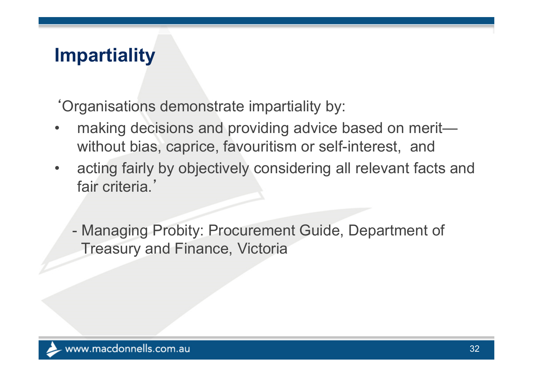# **Impartiality**

'Organisations demonstrate impartiality by:

- • making decisions and providing advice based on merit without bias, caprice, favouritism or self-interest, and
- $\bullet$  acting fairly by objectively considering all relevant facts and fair criteria.'

- Managing Probity: Procurement Guide, Department of Treasury and Finance, Victoria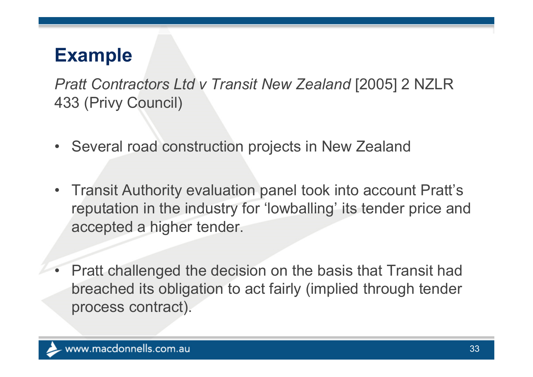*Pratt Contractors Ltd v Transit New Zealand* [2005] 2 NZLR 433 (Privy Council)

- $\bullet$ Several road construction projects in New Zealand
- • Transit Authority evaluation panel took into account Pratt's reputation in the industry for 'lowballing' its tender price and accepted a higher tender.
- • Pratt challenged the decision on the basis that Transit had breached its obligation to act fairly (implied through tender process contract).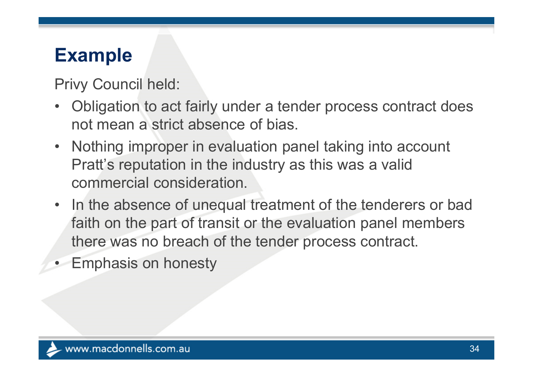Privy Council held:

- • Obligation to act fairly under a tender process contract does not mean a strict absence of bias.
- Nothing improper in evaluation panel taking into account Pratt's reputation in the industry as this was a valid commercial consideration.
- $\bullet$  In the absence of unequal treatment of the tenderers or bad faith on the part of transit or the evaluation panel members there was no breach of the tender process contract.
- •Emphasis on honesty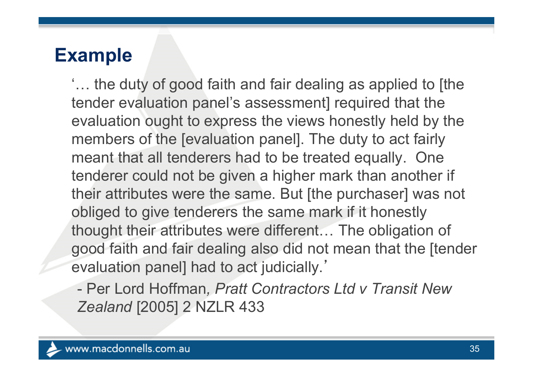'… the duty of good faith and fair dealing as applied to [the tender evaluation panel's assessment] required that the evaluation ought to express the views honestly held by the members of the [evaluation panel]. The duty to act fairly meant that all tenderers had to be treated equally. One tenderer could not be given a higher mark than another if their attributes were the same. But [the purchaser] was not obliged to give tenderers the same mark if it honestly thought their attributes were different… The obligation of good faith and fair dealing also did not mean that the [tender evaluation panel] had to act judicially.'

- Per Lord Hoffman*, Pratt Contractors Ltd v Transit New Zealand* [2005] 2 NZLR 433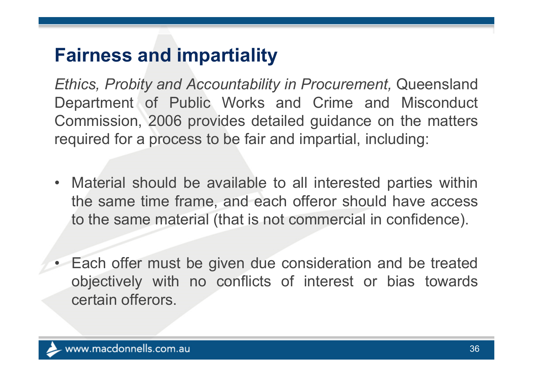*Ethics, Probity and Accountability in Procurement,* Queensland Department of Public Works and Crime and Misconduct Commission, 2006 provides detailed guidance on the matters required for <sup>a</sup> process to be fair and impartial, including:

- Material should be available to all interested parties within the same time frame, and each offeror should have access to the same material (that is not commercial in confidence).
- • Each offer must be given due consideration and be treated objectively with no conflicts of interest or bias towards certain offerors.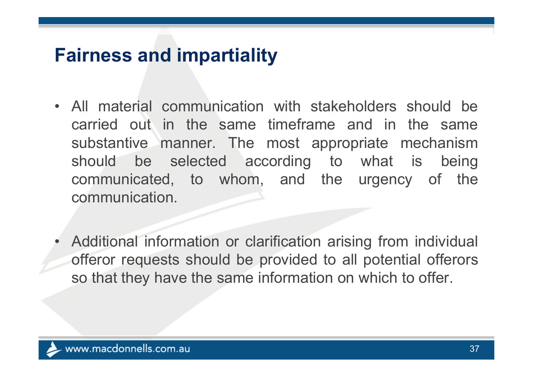- All material communication with stakeholders should be carried out in the same timeframe and in the same substantive manner. The most appropriate mechanism should be selected according to what is being communicated, to whom, and the urgency of the communication.
- • Additional information or clarification arising from individual offeror requests should be provided to all potential offerors so that they have the same information on which to offer.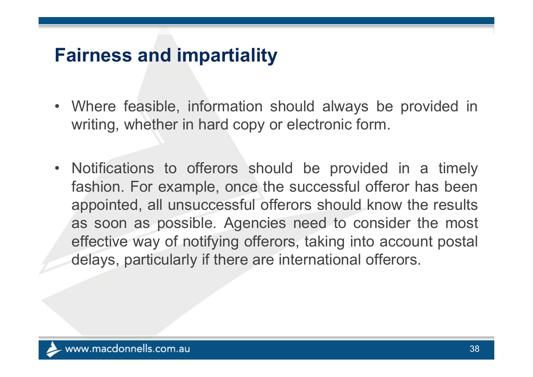- Where feasible, information should always be provided in writing, whether in hard copy or electronic form.
- Notifications to offerors should be provided in <sup>a</sup> timely fashion. For example, once the successful offeror has been appointed, all unsuccessful offerors should know the results as soon as possible. Agencies need to consider the most effective way of notifying offerors, taking into account postal delays, particularly if there are international offerors.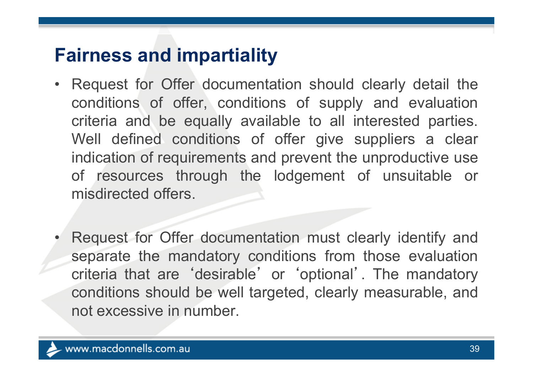- Request for Offer documentation should clearly detail the conditions of offer, conditions of supply and evaluation criteria and be equally available to all interested parties. Well defined conditions of offer give suppliers <sup>a</sup> clear indication of requirements and prevent the unproductive use of resources through the lodgement of unsuitable or misdirected offers.
- • Request for Offer documentation must clearly identify and separate the mandatory conditions from those evaluation criteria that are 'desirable' or 'optional'. The mandatory conditions should be well targeted, clearly measurable, and not excessive in number.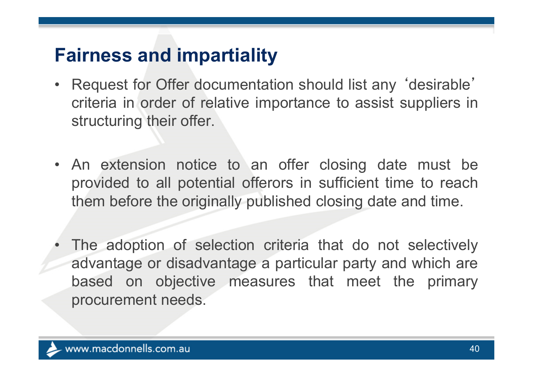- Request for Offer documentation should list any 'desirable' criteria in order of relative importance to assist suppliers in structuring their offer.
- An extension notice to an offer closing date must be provided to all potential offerors in sufficient time to reach them before the originally published closing date and time.
- • The adoption of selection criteria that do not selectively advantage or disadvantage <sup>a</sup> particular party and which are based on objective measures that meet the primary procurement needs.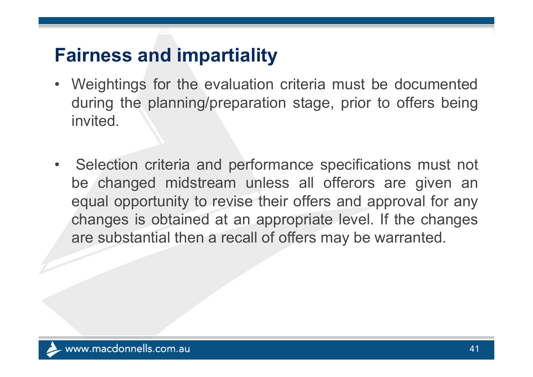- Weightings for the evaluation criteria must be documented during the planning/preparation stage, prior to offers being invited.
- $\bullet$  Selection criteria and performance specifications must not be changed midstream unless all offerors are given an equal opportunity to revise their offers and approval for any changes is obtained at an appropriate level. If the changes are substantial then <sup>a</sup> recall of offers may be warranted.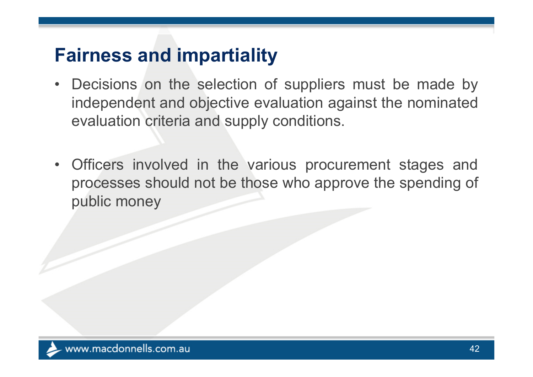- $\bullet$  Decisions on the selection of suppliers must be made by independent and objective evaluation against the nominated evaluation criteria and supply conditions.
- $\bullet$  Officers involved in the various procurement stages and processes should not be those who approve the spending of public money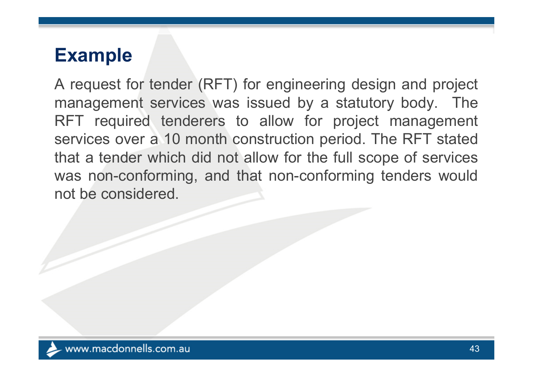A request for tender (RFT) for engineering design and project management services was issued by <sup>a</sup> statutory body. The RFT required tenderers to allow for project management services over <sup>a</sup> 10 month construction period. The RFT stated that <sup>a</sup> tender which did not allow for the full scope of services was non-conforming, and that non-conforming tenders would not be considered.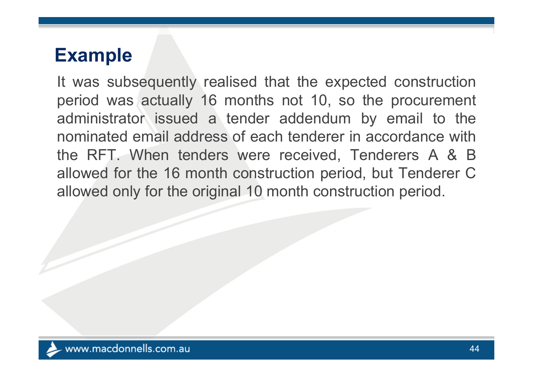It was subsequently realised that the expected construction period was actually 16 months not 10, so the procurement administrator issued <sup>a</sup> tender addendum by email to the nominated email address of each tenderer in accordance with the RFT. When tenders were received, Tenderers A & B allowed for the 16 month construction period, but Tenderer C allowed only for the original 10 month construction period.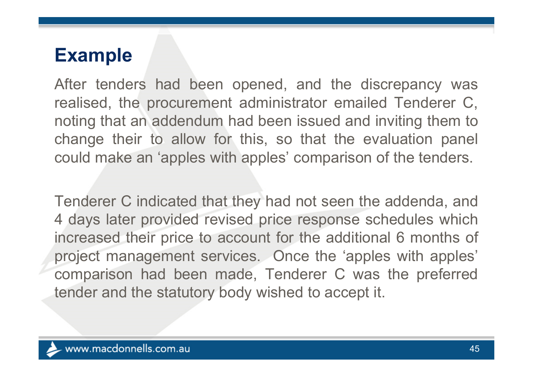After tenders had been opened, and the discrepancy was realised, the procurement administrator emailed Tenderer C, noting that an addendum had been issued and inviting them to change their to allow for this, so that the evaluation panel could make an 'apples with apples' comparison of the tenders.

Tenderer C indicated that they had not seen the addenda, and 4 days later provided revised price response schedules which increased their price to account for the additional 6 months of project management services. Once the 'apples with apples' comparison had been made, Tenderer C was the preferred tender and the statutory body wished to accept it.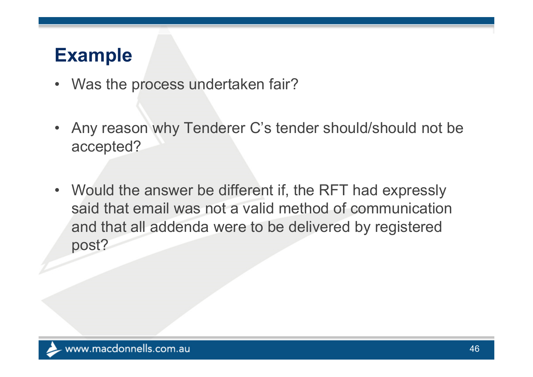- Was the process undertaken fair?
- Any reason why Tenderer C's tender should/should not be accepted?
- Would the answer be different if, the RFT had expressly said that email was not a valid method of communication and that all addenda were to be delivered by registered post?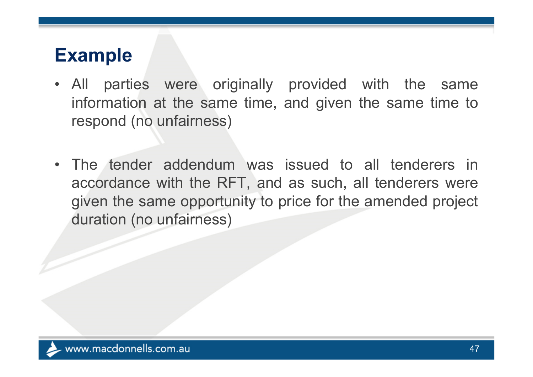- All parties were originally provided with the same information at the same time, and given the same time to respond (no unfairness)
- The tender addendum was issued to all tenderers in accordance with the RFT, and as such, all tenderers were given the same opportunity to price for the amended project duration (no unfairness)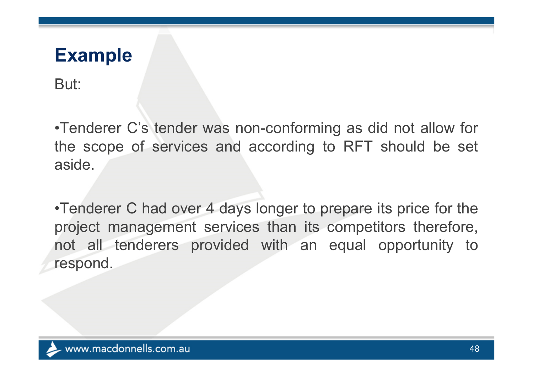But:

•Tenderer C's tender was non-conforming as did not allow for the scope of services and according to RFT should be set aside.

•Tenderer C had over 4 days longer to prepare its price for the project management services than its competitors therefore, not all tenderers provided with an equal opportunity to respond.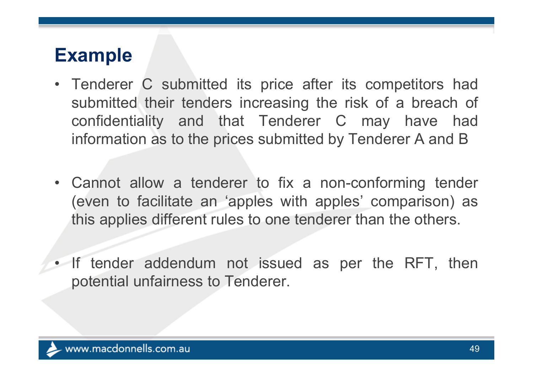- Tenderer C submitted its price after its competitors had submitted their tenders increasing the risk of <sup>a</sup> breach of confidentiality and that Tenderer C may have had information as to the prices submitted by Tenderer A and B
- Cannot allow <sup>a</sup> tenderer to fix <sup>a</sup> non-conforming tender (even to facilitate an 'apples with apples' comparison) as this applies different rules to one tenderer than the others.
- If tender addendum not issued as per the RFT, then potential unfairness to Tenderer.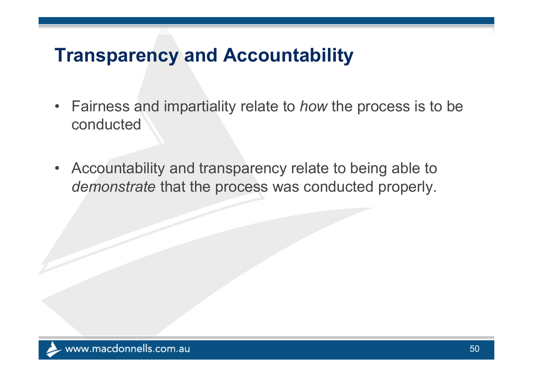- Fairness and impartiality relate to *how* the process is to be conducted
- $\bullet$  Accountability and transparency relate to being able to *demonstrate* that the process was conducted properly.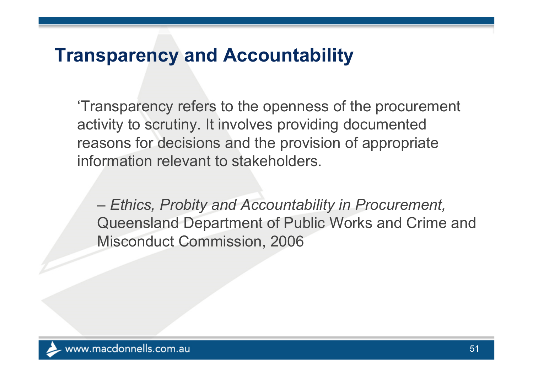'Transparency refers to the openness of the procurement activity to scrutiny. It involves providing documented reasons for decisions and the provision of appropriate information relevant to stakeholders.

 *Ethics, Probity and Accountability in Procurement,*  Queensland Department of Public Works and Crime and Misconduct Commission, 2006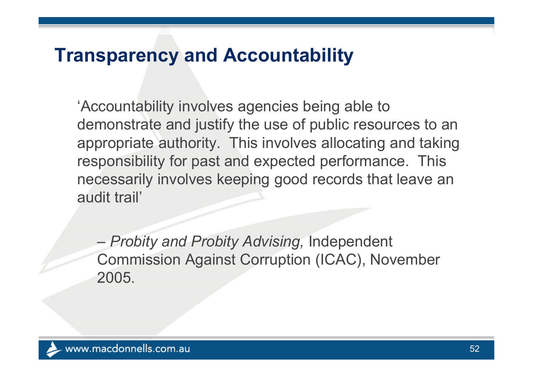'Accountability involves agencies being able to demonstrate and justify the use of public resources to an appropriate authority. This involves allocating and taking responsibility for past and expected performance. This necessarily involves keeping good records that leave an audit trail'

 *Probity and Probity Advising,* Independent Commission Against Corruption (ICAC), November 2005.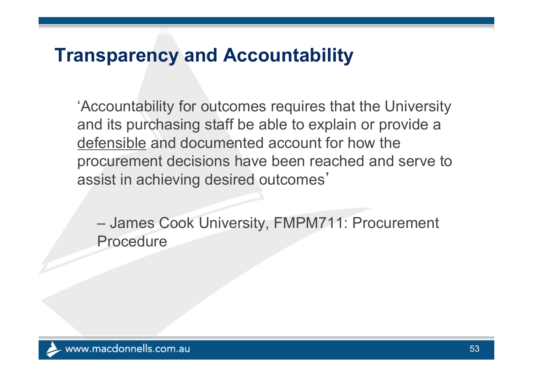'Accountability for outcomes requires that the University and its purchasing staff be able to explain or provide a defensible and documented account for how the procurement decisions have been reached and serve to assist in achieving desired outcomes'

– James Cook University, FMPM711: Procurement Procedure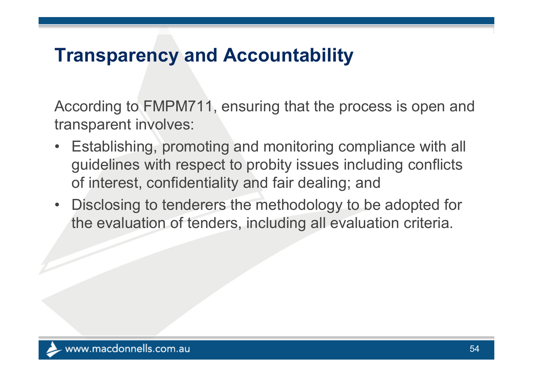According to FMPM711, ensuring that the process is open and transparent involves:

- Establishing, promoting and monitoring compliance with all guidelines with respect to probity issues including conflicts of interest, confidentiality and fair dealing; and
- $\bullet$  Disclosing to tenderers the methodology to be adopted for the evaluation of tenders, including all evaluation criteria.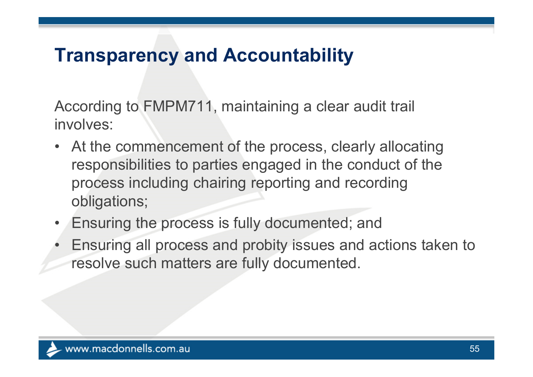According to FMPM711, maintaining a clear audit trail involves:

- At the commencement of the process, clearly allocating responsibilities to parties engaged in the conduct of the process including chairing reporting and recording obligations;
- $\bullet$ Ensuring the process is fully documented; and
- • Ensuring all process and probity issues and actions taken to resolve such matters are fully documented.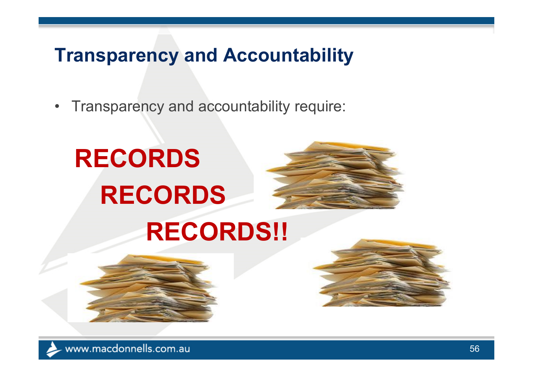• Transparency and accountability require:

# **RECORDS RECORDS RECORDS!!**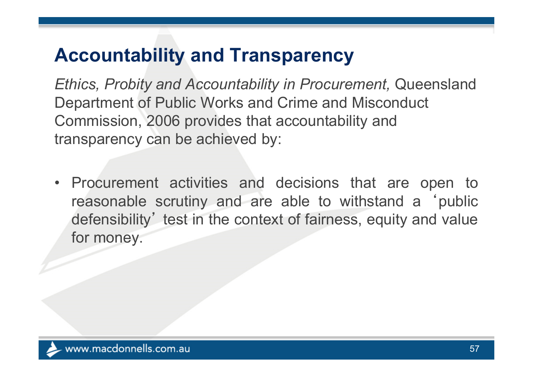*Ethics, Probity and Accountability in Procurement,* Queensland Department of Public Works and Crime and Misconduct Commission, 2006 provides that accountability and transparency can be achieved by:

• Procurement activities and decisions that are open to reasonable scrutiny and are able to withstand <sup>a</sup> 'public defensibility' test in the context of fairness, equity and value for money.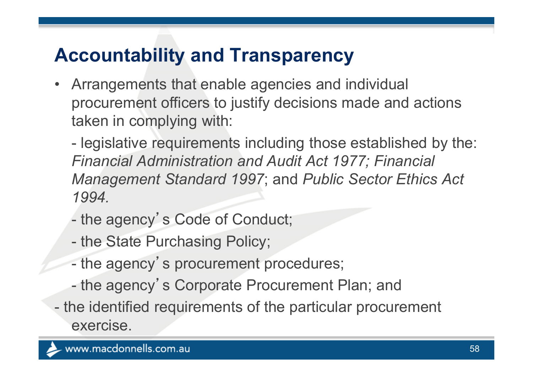• Arrangements that enable agencies and individual procurement officers to justify decisions made and actions taken in complying with:

 $\mathcal{L}_{\mathcal{A}}$  legislative requirements including those established by the: *Financial Administration and Audit Act 1977; Financial Management Standard 1997*; and *Public Sector Ethics Act 1994.*

- the agency's Code of Conduct;
- $\mathcal{L}_{\mathcal{A}}$ the State Purchasing Policy;
- the agency's procurement procedures;
- $\mathcal{L}_{\mathcal{A}}$ the agency's Corporate Procurement Plan; and
- the identified requirements of the particular procurement exercise.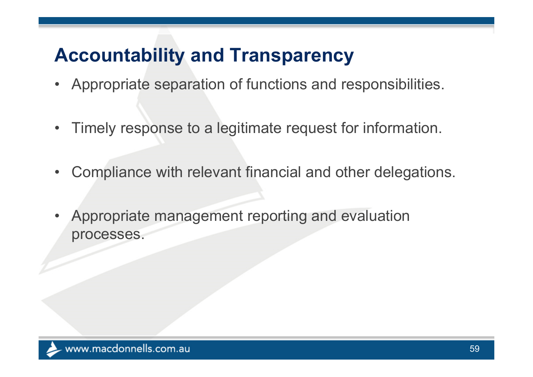- Appropriate separation of functions and responsibilities.
- Timely response to a legitimate request for information.
- $\bullet$ Compliance with relevant financial and other delegations.
- $\bullet$  Appropriate management reporting and evaluation processes.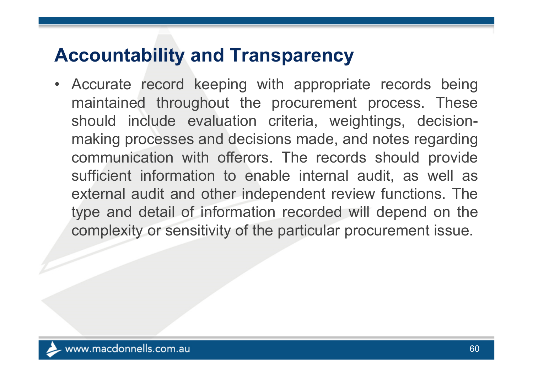• Accurate record keeping with appropriate records being maintained throughout the procurement process. These should include evaluation criteria, weightings, decisionmaking processes and decisions made, and notes regarding communication with offerors. The records should provide sufficient information to enable internal audit, as well as external audit and other independent review functions. The type and detail of information recorded will depend on the complexity or sensitivity of the particular procurement issue.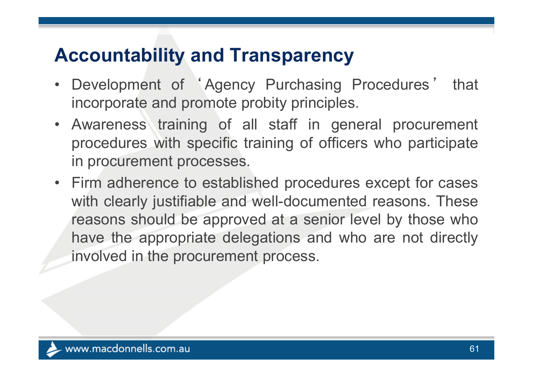- $\bullet$ Development of 'Agency Purchasing Procedures' that incorporate and promote probity principles.
- Awareness training of all staff in general procurement procedures with specific training of officers who participate in procurement processes.
- Firm adherence to established procedures except for cases with clearly justifiable and well-documented reasons. These reasons should be approved at <sup>a</sup> senior level by those who have the appropriate delegations and who are not directly involved in the procurement process.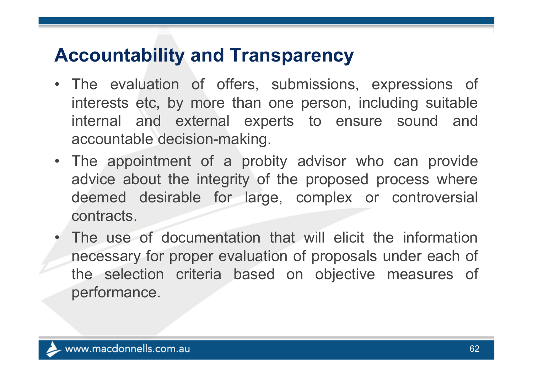- The evaluation of offers, submissions, expressions of interests etc, by more than one person, including suitable internal and external experts to ensure sound and accountable decision-making.
- The appointment of <sup>a</sup> probity advisor who can provide advice about the integrity of the proposed process where deemed desirable for large, complex or controversial contracts.
- The use of documentation that will elicit the information necessary for proper evaluation of proposals under each of the selection criteria based on objective measures of performance.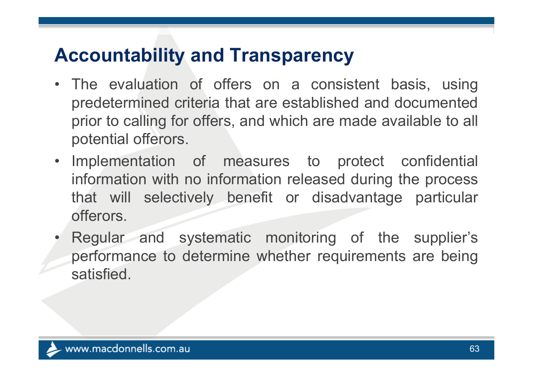- The evaluation of offers on <sup>a</sup> consistent basis, using predetermined criteria that are established and documented prior to calling for offers, and which are made available to all potential offerors.
- • Implementation of measures to protect confidential information with no information released during the process that will selectively benefit or disadvantage particular offerors.
- Regular and systematic monitoring of the supplier's performance to determine whether requirements are being satisfied.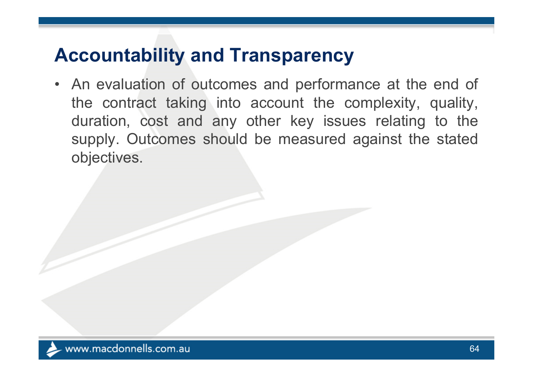• An evaluation of outcomes and performance at the end of the contract taking into account the complexity, quality, duration, cost and any other key issues relating to the supply. Outcomes should be measured against the stated objectives.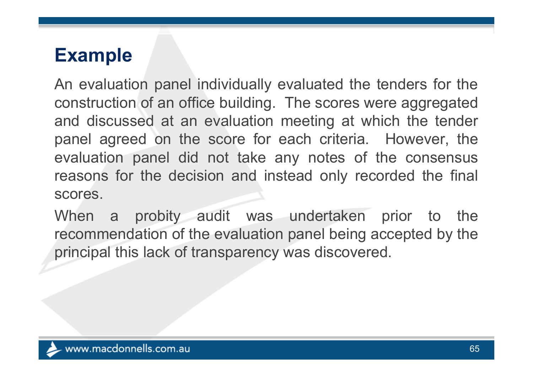An evaluation panel individually evaluated the tenders for the construction of an office building. The scores were aggregated and discussed at an evaluation meeting at which the tender panel agreed on the score for each criteria. However, the evaluation panel did not take any notes of the consensus reasons for the decision and instead only recorded the final scores.

When <sup>a</sup> probity audit was undertaken prior to the recommendation of the evaluation panel being accepted by the principal this lack of transparency was discovered.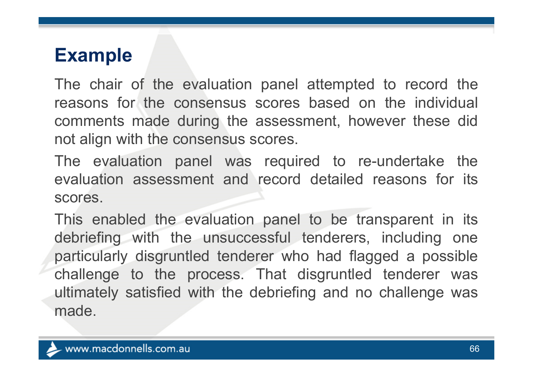The chair of the evaluation panel attempted to record the reasons for the consensus scores based on the individual comments made during the assessment, however these did not align with the consensus scores.

The evaluation panel was required to re-undertake the evaluation assessment and record detailed reasons for its scores.

This enabled the evaluation panel to be transparent in its debriefing with the unsuccessful tenderers, including one particularly disgruntled tenderer who had flagged <sup>a</sup> possible challenge to the process. That disgruntled tenderer was ultimately satisfied with the debriefing and no challenge was made.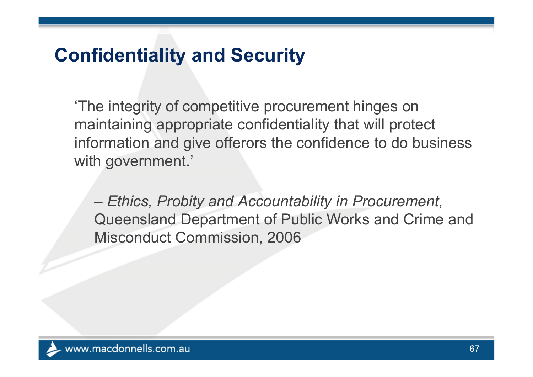### **Confidentiality and Security**

'The integrity of competitive procurement hinges on maintaining appropriate confidentiality that will protect information and give offerors the confidence to do business with government.'

– *Ethics, Probity and Accountability in Procurement,*  Queensland Department of Public Works and Crime and Misconduct Commission, 2006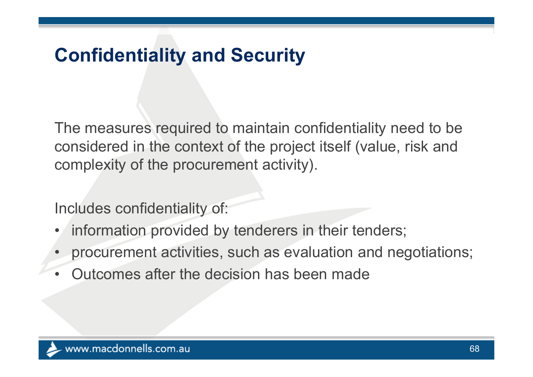### **Confidentiality and Security**

The measures required to maintain confidentiality need to be considered in the context of the project itself (value, risk and complexity of the procurement activity).

Includes confidentiality of:

- •information provided by tenderers in their tenders;
- •procurement activities, such as evaluation and negotiations;
- •Outcomes after the decision has been made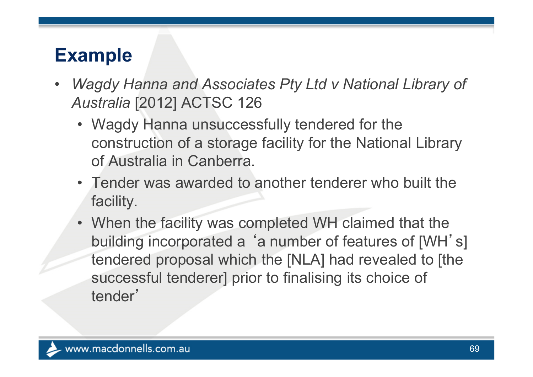- • *Wagdy Hanna and Associates Pty Ltd v National Library of Australia* [2012] ACTSC 126
	- Wagdy Hanna unsuccessfully tendered for the construction of a storage facility for the National Library of Australia in Canberra.
	- Tender was awarded to another tenderer who built the facility.
	- When the facility was completed WH claimed that the building incorporated a 'a number of features of [WH's] tendered proposal which the [NLA] had revealed to [the successful tenderer] prior to finalising its choice of tender'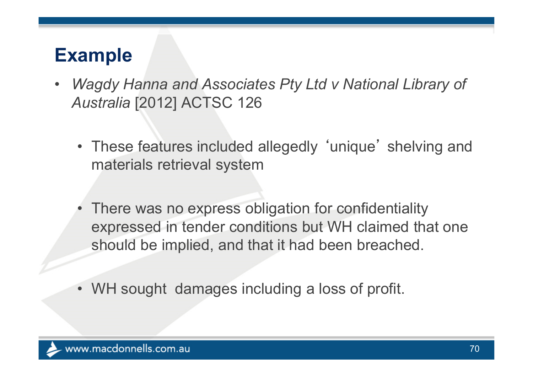- $\bullet$  *Wagdy Hanna and Associates Pty Ltd v National Library of Australia* [2012] ACTSC 126
	- These features included allegedly 'unique' shelving and materials retrieval system
	- There was no express obligation for confidentiality expressed in tender conditions but WH claimed that one should be implied, and that it had been breached.
	- WH sought damages including a loss of profit.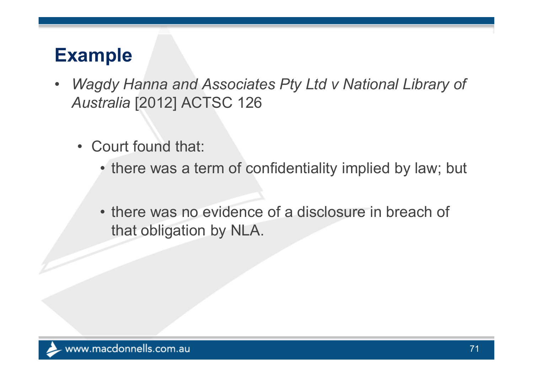- $\bullet$  *Wagdy Hanna and Associates Pty Ltd v National Library of Australia* [2012] ACTSC 126
	- Court found that:
		- there was a term of confidentiality implied by law; but
		- there was no evidence of a disclosure in breach of that obligation by NLA.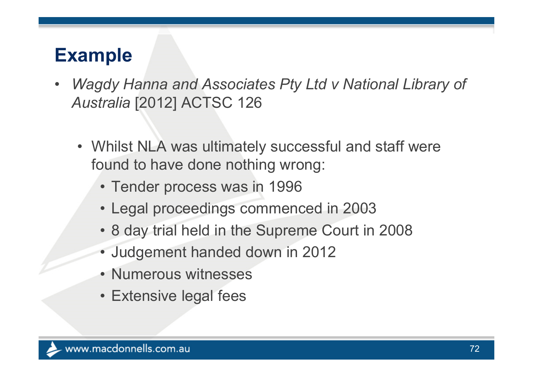- $\bullet$  *Wagdy Hanna and Associates Pty Ltd v National Library of Australia* [2012] ACTSC 126
	- Whilst NLA was ultimately successful and staff were found to have done nothing wrong:
		- Tender process was in 1996
		- Legal proceedings commenced in 2003
		- 8 day trial held in the Supreme Court in 2008
		- Judgement handed down in 2012
		- Numerous witnesses
		- Extensive legal fees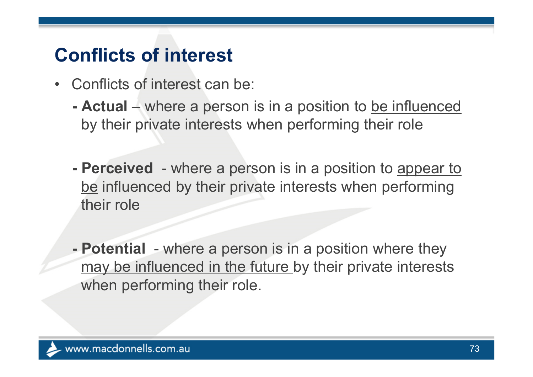- • Conflicts of interest can be:
	- **-Actual** – where a person is in a position to be influenced by their private interests when performing their role
	- **-Perceived** - where a person is in a position to appear to be influenced by their private interests when performing their role
	- **-Potential** - where a person is in a position where they may be influenced in the future by their private interests when performing their role.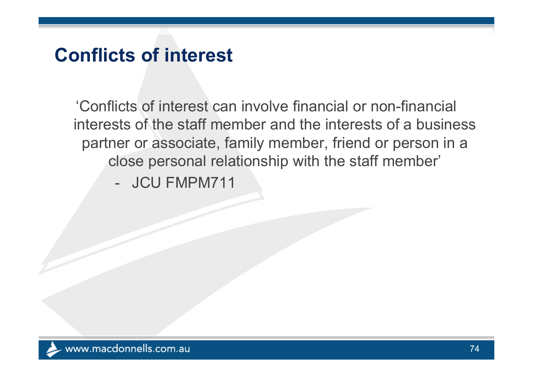'Conflicts of interest can involve financial or non-financial interests of the staff member and the interests of a business partner or associate, family member, friend or person in a close personal relationship with the staff member'

- JCU FMPM711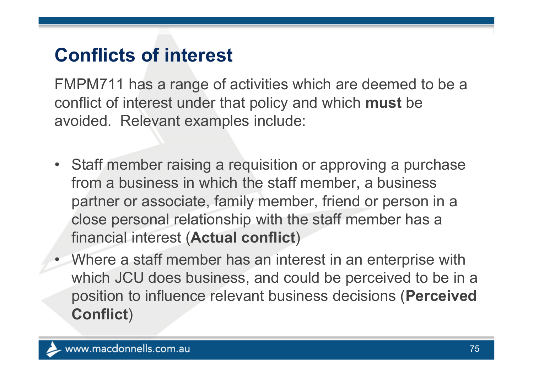FMPM711 has a range of activities which are deemed to be a conflict of interest under that policy and which **must** be avoided. Relevant examples include:

- Staff member raising a requisition or approving a purchase from a business in which the staff member, a business partner or associate, family member, friend or person in a close personal relationship with the staff member has a financial interest (**Actual conflict** )
- Where a staff member has an interest in an enterprise with which JCU does business, and could be perceived to be in a position to influence relevant business decisions (**Perceived Conflict** )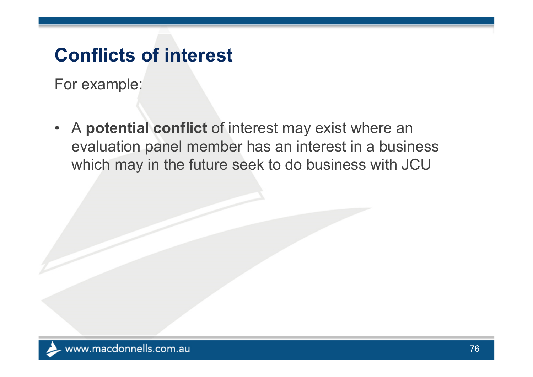For example:

• A **potential conflict** of interest may exist where an evaluation panel member has an interest in a business which may in the future seek to do business with JCU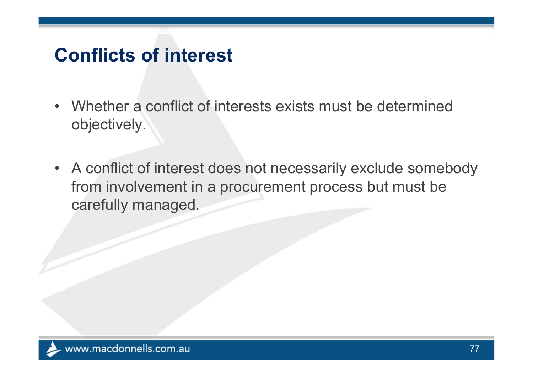- Whether a conflict of interests exists must be determined objectively.
- A conflict of interest does not necessarily exclude somebody from involvement in a procurement process but must be carefully managed.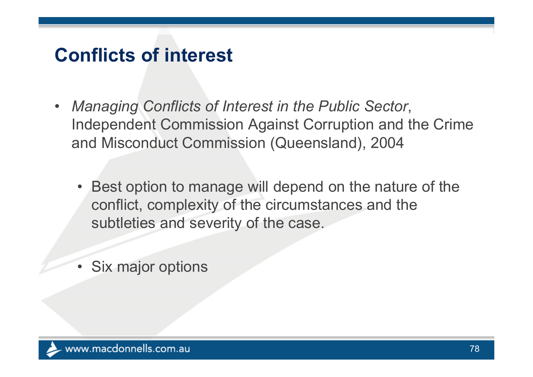- $\bullet$  *Managing Conflicts of Interest in the Public Sector*, Independent Commission Against Corruption and the Crime and Misconduct Commission (Queensland), 2004
	- Best option to manage will depend on the nature of the conflict, complexity of the circumstances and the subtleties and severity of the case.
	- Six major options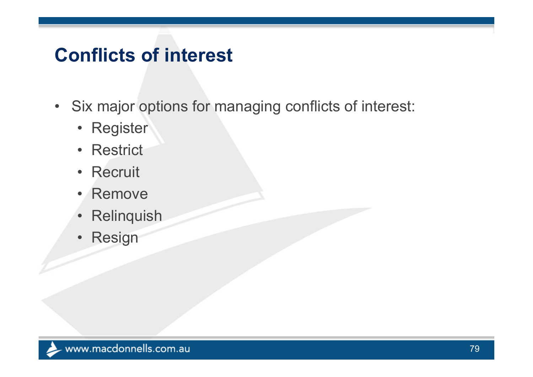- Six major options for managing conflicts of interest:
	- Register
	- Restrict
	- Recruit
	- Remove
	- Relinquish
	- •Resign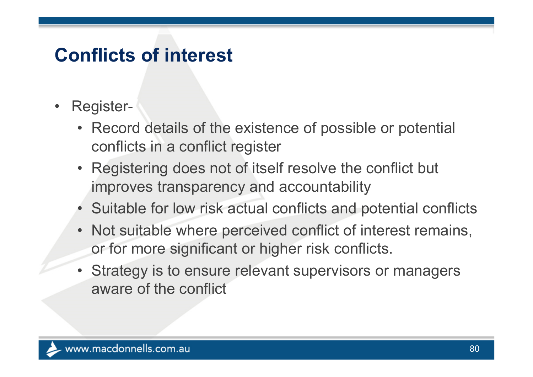- $\bullet$  Register-
	- Record details of the existence of possible or potential conflicts in a conflict register
	- Registering does not of itself resolve the conflict but improves transparency and accountability
	- Suitable for low risk actual conflicts and potential conflicts
	- Not suitable where perceived conflict of interest remains, or for more significant or higher risk conflicts.
	- • Strategy is to ensure relevant supervisors or managers aware of the conflict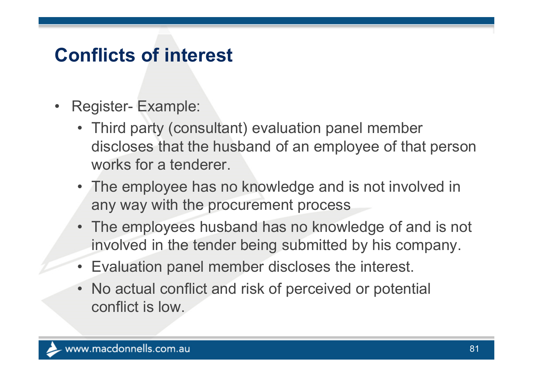- • Register- Example:
	- Third party (consultant) evaluation panel member discloses that the husband of an employee of that person works for a tenderer.
	- The employee has no knowledge and is not involved in any way with the procurement process
	- The employees husband has no knowledge of and is not involved in the tender being submitted by his company.
	- Evaluation panel member discloses the interest.
	- No actual conflict and risk of perceived or potential conflict is low.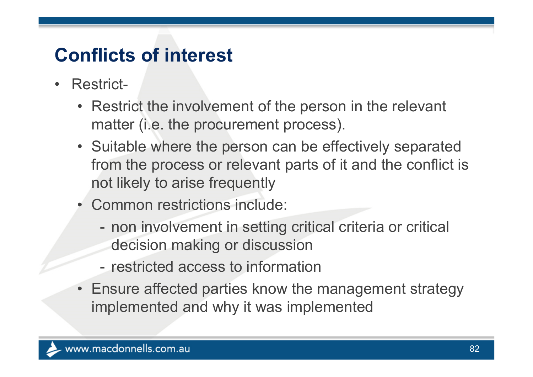- • Restrict-
	- Restrict the involvement of the person in the relevant matter (i.e. the procurement process).
	- Suitable where the person can be effectively separated from the process or relevant parts of it and the conflict is not likely to arise frequently
	- Common restrictions include:
		- non involvement in setting critical criteria or critical decision making or discussion
		- restricted access to information
	- Ensure affected parties know the management strategy implemented and why it was implemented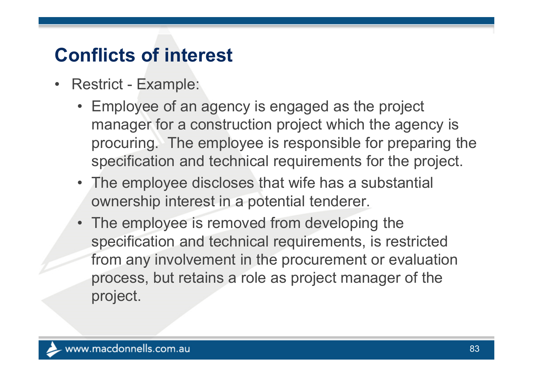- $\bullet$  Restrict - Example:
	- Employee of an agency is engaged as the project manager for a construction project which the agency is procuring. The employee is responsible for preparing the specification and technical requirements for the project.
	- The employee discloses that wife has a substantial ownership interest in a potential tenderer.
	- The employee is removed from developing the specification and technical requirements, is restricted from any involvement in the procurement or evaluation process, but retains a role as project manager of the project.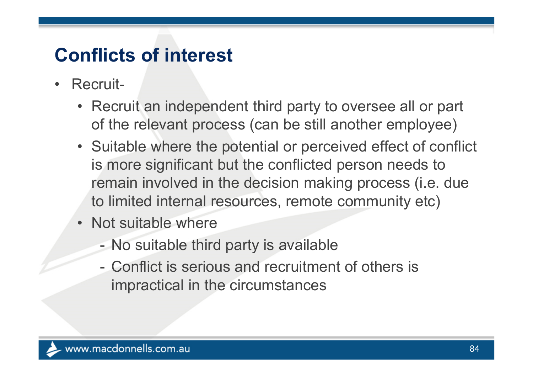- • Recruit-
	- Recruit an independent third party to oversee all or part of the relevant process (can be still another employee)
	- Suitable where the potential or perceived effect of conflict is more significant but the conflicted person needs to remain involved in the decision making process (i.e. due to limited internal resources, remote community etc)
	- Not suitable where
		- -No suitable third party is available
		- Conflict is serious and recruitment of others is impractical in the circumstances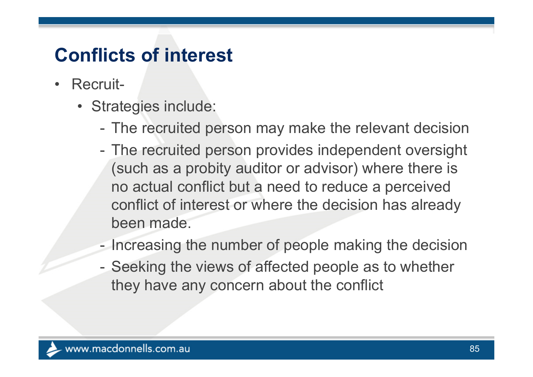- • Recruit-
	- Strategies include:
		- -The recruited person may make the relevant decision
		- - The recruited person provides independent oversight (such as a probity auditor or advisor) where there is no actual conflict but a need to reduce a perceived conflict of interest or where the decision has already been made.
		- -Increasing the number of people making the decision
		- - Seeking the views of affected people as to whether they have any concern about the conflict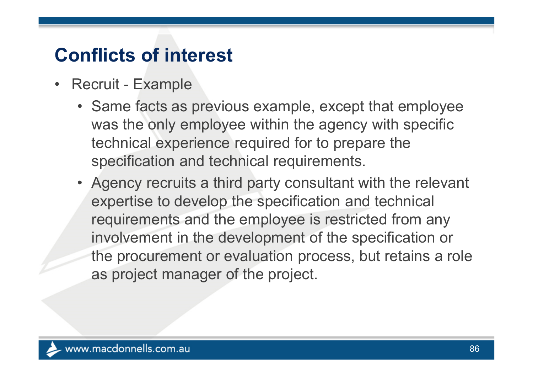- $\bullet$  Recruit - Example
	- Same facts as previous example, except that employee was the only employee within the agency with specific technical experience required for to prepare the specification and technical requirements.
	- Agency recruits a third party consultant with the relevant expertise to develop the specification and technical requirements and the employee is restricted from any involvement in the development of the specification or the procurement or evaluation process, but retains a role as project manager of the project.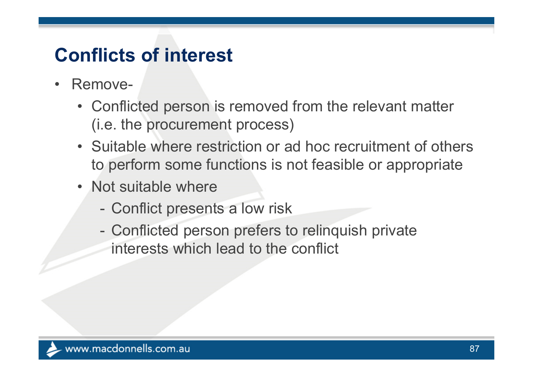- $\bullet$  Remove-
	- Conflicted person is removed from the relevant matter (i.e. the procurement process)
	- Suitable where restriction or ad hoc recruitment of others to perform some functions is not feasible or appropriate
	- Not suitable where
		- -Conflict presents a low risk
		- - Conflicted person prefers to relinquish private interests which lead to the conflict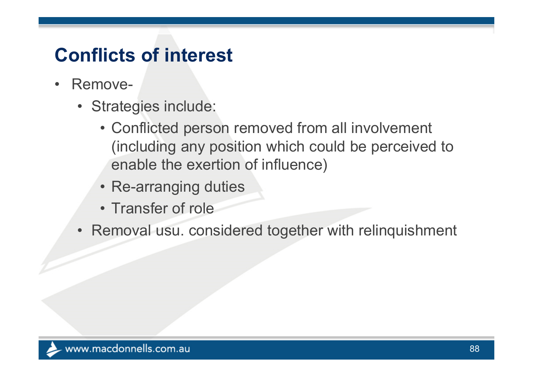- • Remove-
	- Strategies include:
		- Conflicted person removed from all involvement (including any position which could be perceived to enable the exertion of influence)
		- Re-arranging duties
		- Transfer of role
	- Removal usu. considered together with relinquishment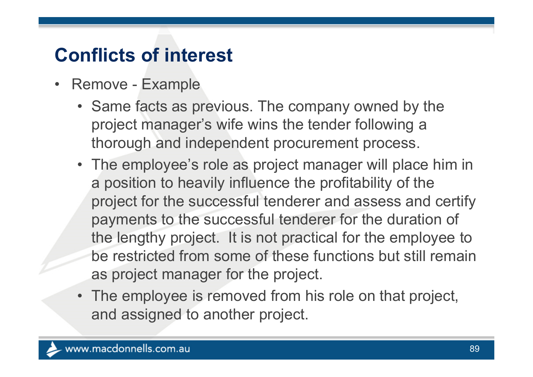- $\bullet$  Remove - Example
	- Same facts as previous. The company owned by the project manager's wife wins the tender following a thorough and independent procurement process.
	- The employee's role as project manager will place him in a position to heavily influence the profitability of the project for the successful tenderer and assess and certify payments to the successful tenderer for the duration of the lengthy project. It is not practical for the employee to be restricted from some of these functions but still remain as project manager for the project.
	- The employee is removed from his role on that project, and assigned to another project.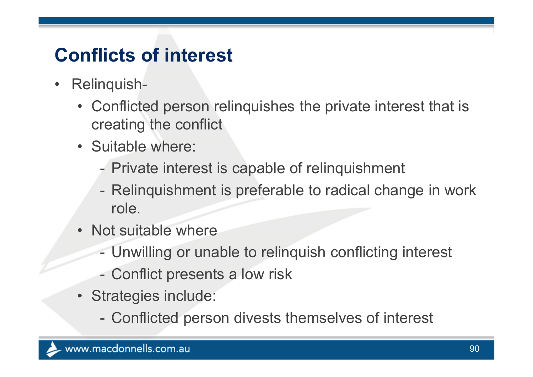- $\bullet$  Relinquish-
	- Conflicted person relinquishes the private interest that is creating the conflict
	- Suitable where:
		- -Private interest is capable of relinquishment
		- - Relinquishment is preferable to radical change in work role.
	- Not suitable where
		- -Unwilling or unable to relinquish conflicting interest
		- -Conflict presents a low risk
	- Strategies include:
		- -Conflicted person divests themselves of interest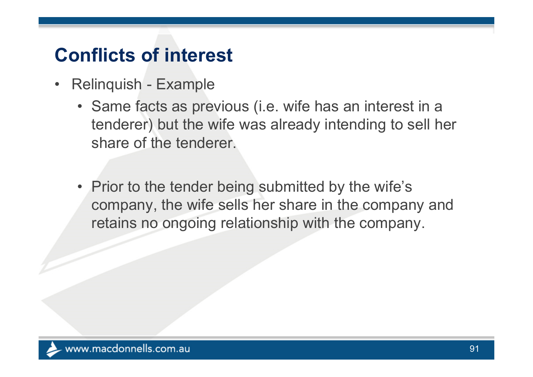- $\bullet$  Relinquish - Example
	- Same facts as previous (i.e. wife has an interest in a tenderer) but the wife was already intending to sell her share of the tenderer.
	- Prior to the tender being submitted by the wife's company, the wife sells her share in the company and retains no ongoing relationship with the company.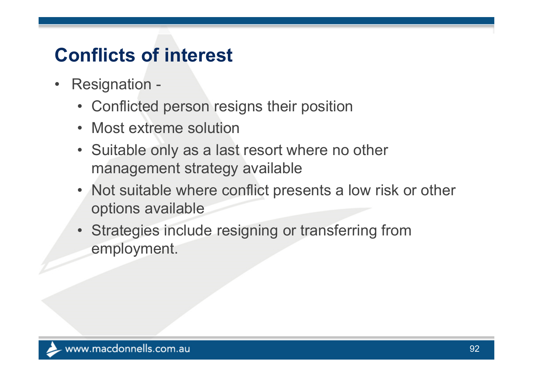- $\bullet$  Resignation -
	- Conflicted person resigns their position
	- Most extreme solution
	- Suitable only as a last resort where no other management strategy available
	- Not suitable where conflict presents a low risk or other options available
	- Strategies include resigning or transferring from employment.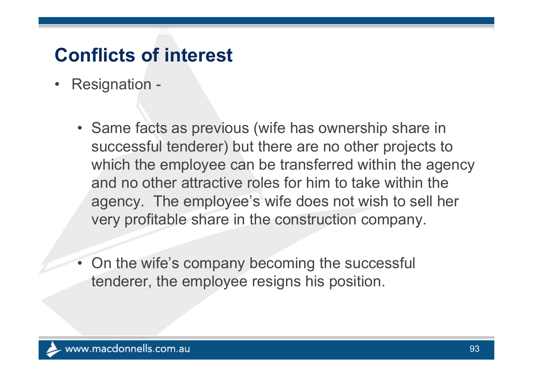- $\bullet$  Resignation -
	- Same facts as previous (wife has ownership share in successful tenderer) but there are no other projects to which the employee can be transferred within the agency and no other attractive roles for him to take within the agency. The employee's wife does not wish to sell her very profitable share in the construction company.
	- On the wife's company becoming the successful tenderer, the employee resigns his position.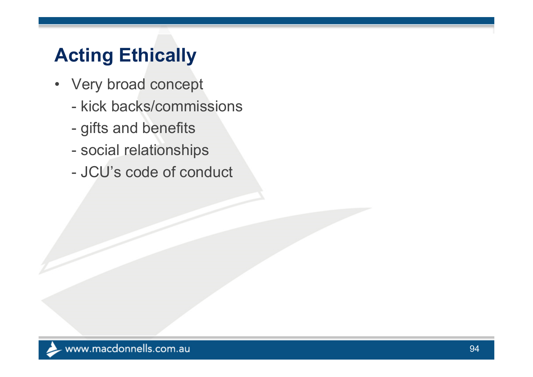- Very broad concept
	- kick backs/commissions
	- gifts and benefits
	- social relationships
	- JCU's code of conduct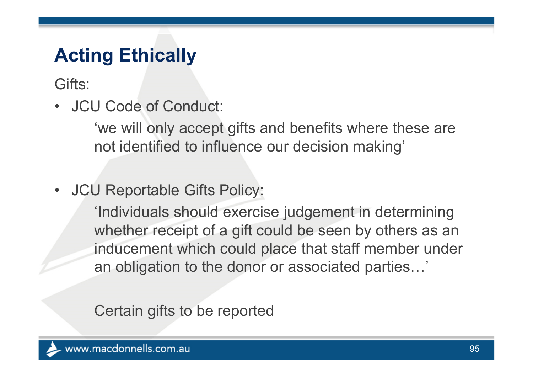Gifts:

•JCU Code of Conduct:

> 'we will only accept gifts and benefits where these are not identified to influence our decision making'

 $\bullet$ JCU Reportable Gifts Policy:

> 'Individuals should exercise judgement in determining whether receipt of a gift could be seen by others as an inducement which could place that staff member under an obligation to the donor or associated parties…'

Certain gifts to be reported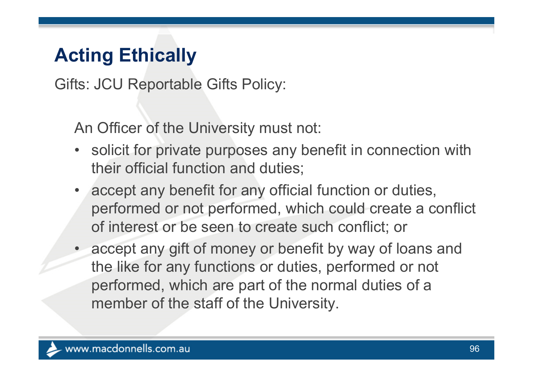Gifts: JCU Reportable Gifts Policy:

An Officer of the University must not:

- solicit for private purposes any benefit in connection with their official function and duties;
- $\bullet$  accept any benefit for any official function or duties, performed or not performed, which could create a conflict of interest or be seen to create such conflict; or
- • accept any gift of money or benefit by way of loans and the like for any functions or duties, performed or not performed, which are part of the normal duties of a member of the staff of the University.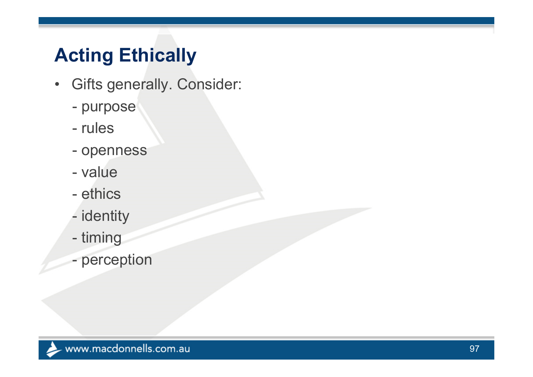- Gifts generally. Consider:
	- purpose
	- rules
	- openness
	- value
	- ethics
	- identity
	- timing
	- perception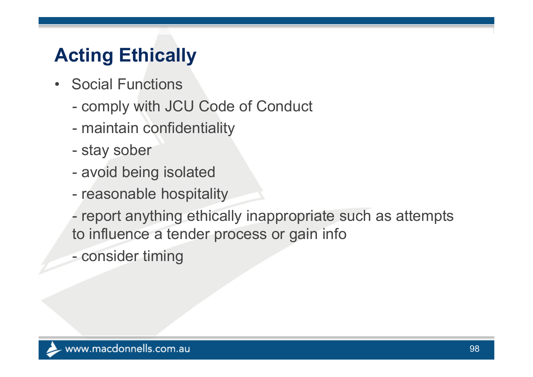- Social Functions
	- comply with JCU Code of Conduct
	- maintain confidentiality
	- stay sober
	- $\mathcal{L}_{\mathcal{A}}$ avoid being isolated
	- $\mathcal{L}_{\mathcal{A}}$ reasonable hospitality
	- report anything ethically inappropriate such as attempts to influence a tender process or gain info
	- consider timing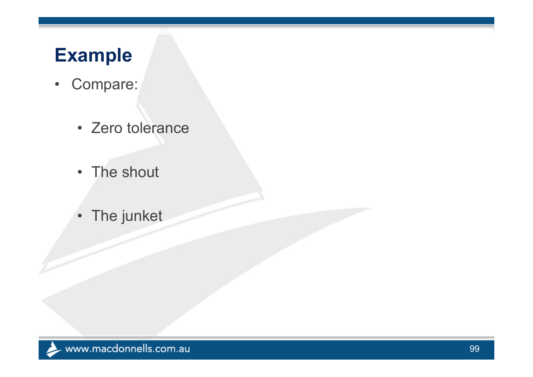## **Example**

- • Compare:
	- Zero tolerance
	- The shout
	- The junket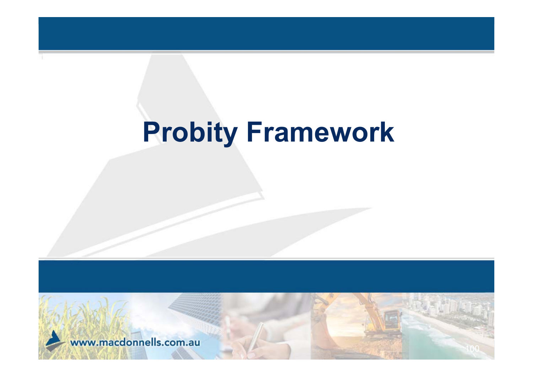# **Probity Framework**

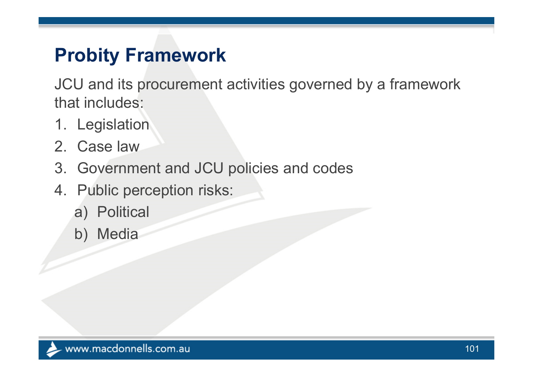#### **Probity Framework**

JCU and its procurement activities governed by a framework that includes:

- 1. Legislation
- 2. Case law
- 3. Government and JCU policies and codes
- 4. Public perception risks:
	- a) Political
	- b) Media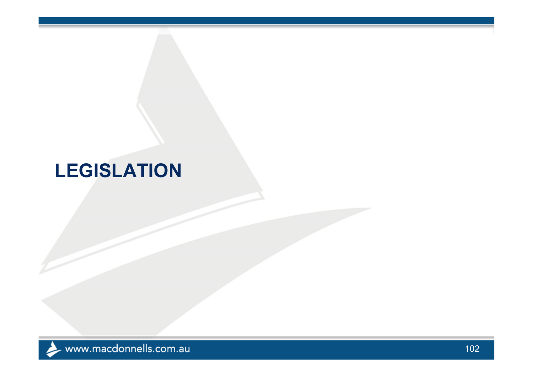#### **LEGISLATION**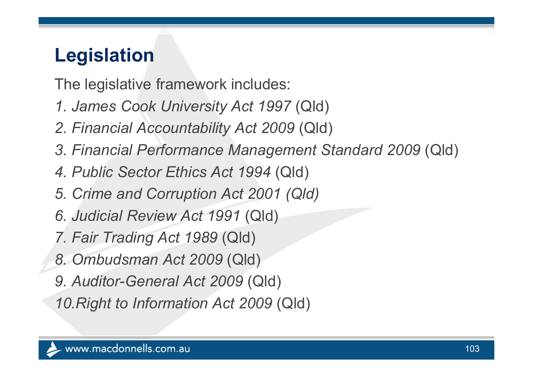## **Legislation**

The legislative framework includes:

- *1. James Cook University Act 1997* (Qld)
- *2. Financial Accountability Act 2009* (Qld)
- *3. Financial Performance Management Standard 2009* (Qld)
- *4. Public Sector Ethics Act 1994* (Qld)
- *5. Crime and Corruption Act 2001 (Qld)*
- *6. Judicial Review Act 1991* (Qld)
- *7. Fair Trading Act 1989* (Qld)
- *8. Ombudsman Act 2009* (Qld)
- *9. Auditor-General Act 2009* (Qld)

*10.Right to Information Act 2009* (Qld)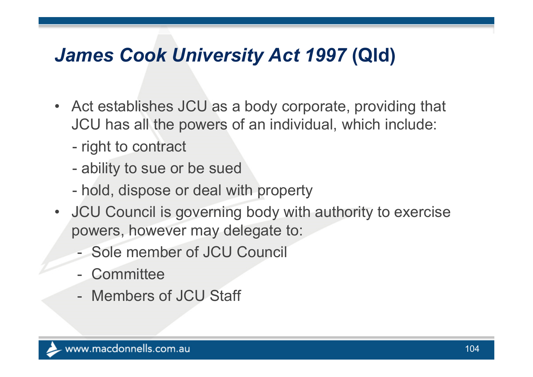#### *James Cook University Act 1997* **(Qld)**

- Act establishes JCU as a body corporate, providing that JCU has all the powers of an individual, which include:
	- right to contract
	- ability to sue or be sued
	- hold, dispose or deal with property
- JCU Council is governing body with authority to exercise powers, however may delegate to:
	- Sole member of JCU Council
	- Committee
	- Members of JCU Staff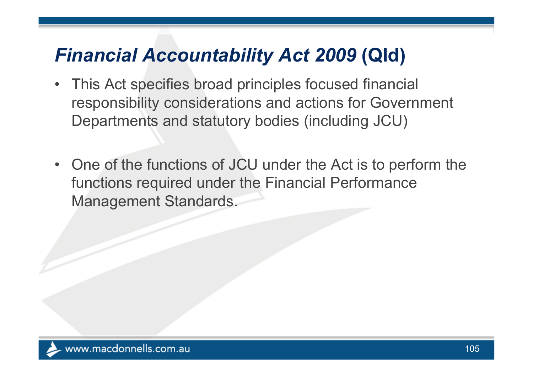#### *Financial Accountability Act 2009* **(Qld)**

- This Act specifies broad principles focused financial responsibility considerations and actions for Government Departments and statutory bodies (including JCU)
- $\bullet$  One of the functions of JCU under the Act is to perform the functions required under the Financial Performance Management Standards.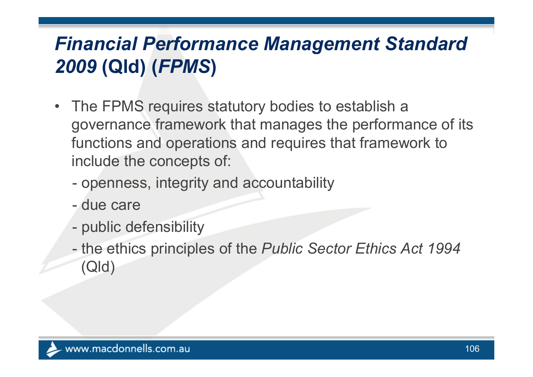## *Financial Performance Management Standard 2009* **(Qld) (***FPMS* **)**

- The FPMS requires statutory bodies to establish a governance framework that manages the performance of its functions and operations and requires that framework to include the concepts of:
	- $\mathcal{L}_{\mathcal{A}}$ openness, integrity and accountability
	- due care
	- public defensibility
	- the ethics principles of the *Public Sector Ethics Act 1994* (Qld)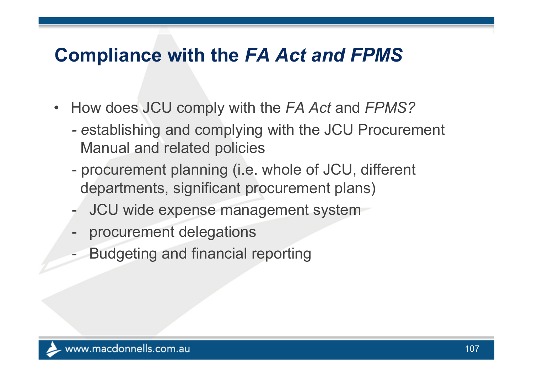#### **Compliance with the** *FA Act and FPMS*

- How does JCU comply with the *FA Act* and *FPMS?*
	- *<sup>e</sup>*stablishing and complying with the JCU Procurement Manual and related policies
	- procurement planning (i.e. whole of JCU, different departments, significant procurement plans)
	- -JCU wide expense management system
	- procurement delegations
	- $\mathcal{L}_{\mathcal{A}}$ Budgeting and financial reporting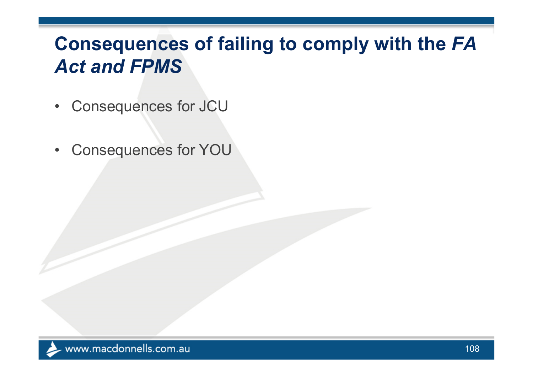### **Consequences of failing to comply with the** *FA Act and FPMS*

- $\bullet$ Consequences for JCU
- •Consequences for YOU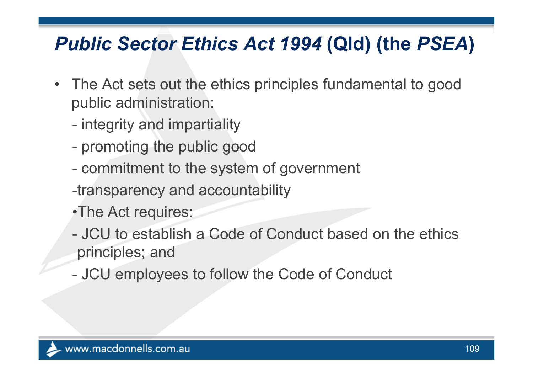#### *Public Sector Ethics Act 1994* **(Qld) (the** *PSEA* **)**

- • The Act sets out the ethics principles fundamental to good public administration:
	- $\mathcal{L}_{\mathcal{A}}$ integrity and impartiality
	- promoting the public good
	- commitment to the system of government
	- -transparency and accountability
	- •The Act requires:
	- JCU to establish a Code of Conduct based on the ethics principles; and
	- $\mathcal{L}_{\mathcal{A}}$ JCU employees to follow the Code of Conduct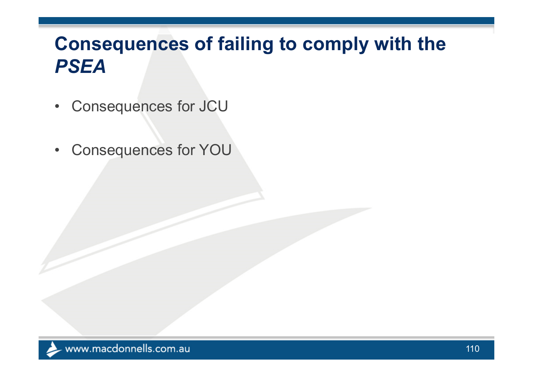### **Consequences of failing to comply with the**  *PSEA*

- $\bullet$ Consequences for JCU
- •Consequences for YOU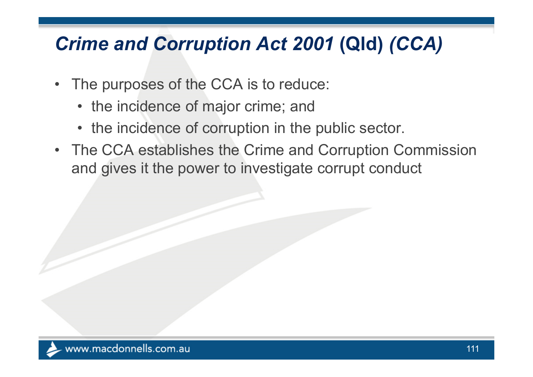# *Crime and Corruption Act 2001* **(Qld)** *(CCA)*

- • The purposes of the CCA is to reduce:
	- the incidence of major crime; and
	- the incidence of corruption in the public sector.
- The CCA establishes the Crime and Corruption Commission and gives it the power to investigate corrupt conduct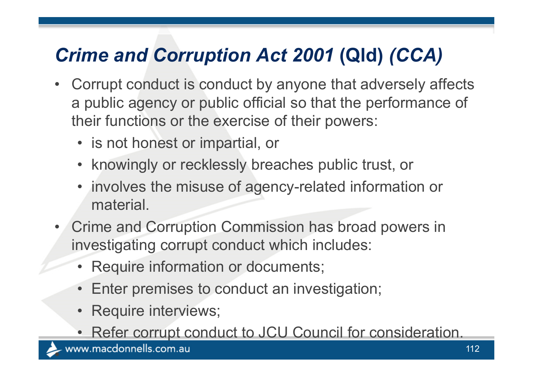# *Crime and Corruption Act 2001* **(Qld)** *(CCA)*

- $\bullet$  Corrupt conduct is conduct by anyone that adversely affects a public agency or public official so that the performance of their functions or the exercise of their powers:
	- is not honest or impartial, or
	- knowingly or recklessly breaches public trust, or
	- involves the misuse of agency-related information or material.
- • Crime and Corruption Commission has broad powers in investigating corrupt conduct which includes:
	- Require information or documents;
	- Enter premises to conduct an investigation;
	- Require interviews;
	- •Refer corrupt conduct to JCU Council for consideration.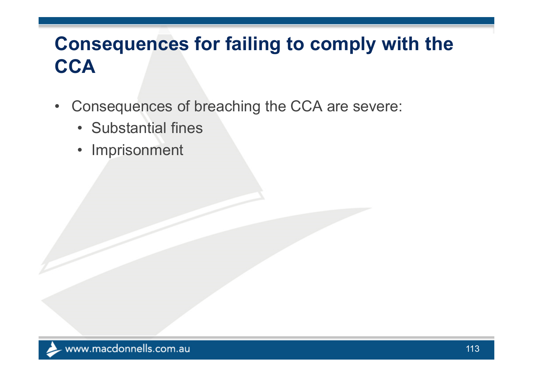### **Consequences for failing to comply with the CCA**

- • Consequences of breaching the CCA are severe:
	- Substantial fines
	- •Imprisonment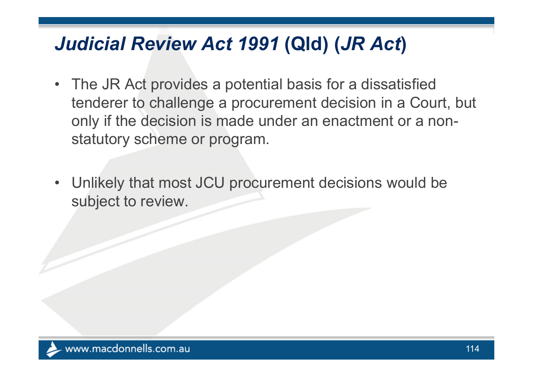#### *Judicial Review Act 1991* **(Qld) (***JR Act***)**

- The JR Act provides a potential basis for a dissatisfied tenderer to challenge a procurement decision in a Court, but only if the decision is made under an enactment or a nonstatutory scheme or program.
- $\bullet$  Unlikely that most JCU procurement decisions would be subject to review.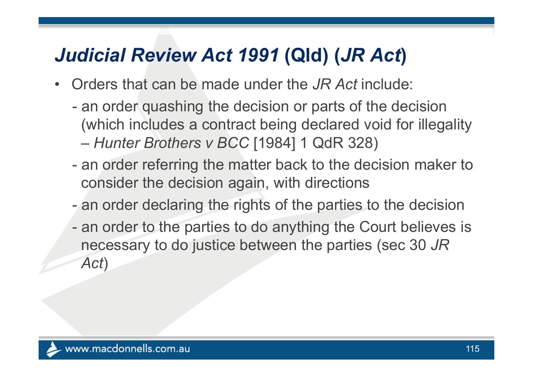#### *Judicial Review Act 1991* **(Qld) (***JR Act***)**

- $\bullet$  Orders that can be made under the *JR Act* include:
	- an order quashing the decision or parts of the decision (which includes a contract being declared void for illegality –*Hunter Brothers v BCC* [1984] 1 QdR 328)
	- $\mathcal{L}_{\mathcal{A}}$  an order referring the matter back to the decision maker to consider the decision again, with directions
	- $\mathcal{L}_{\mathcal{A}}$ an order declaring the rights of the parties to the decision
	- an order to the parties to do anything the Court believes is necessary to do justice between the parties (sec 30 *JR Act*)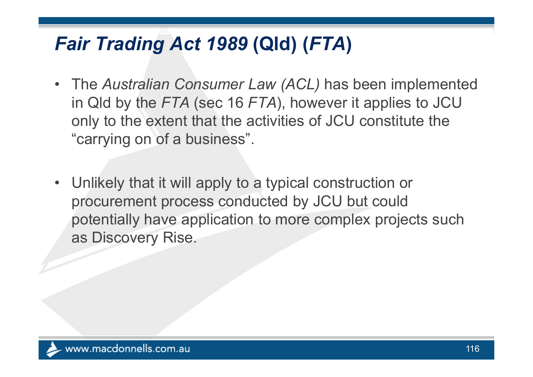#### *Fair Trading Act 1989* **(Qld) (***FTA* **)**

- The *Australian Consumer Law (ACL)* has been implemented in Qld by the *FTA* (sec 16 *FTA*), however it applies to JCU only to the extent that the activities of JCU constitute the "carrying on of a business".
- $\bullet$  Unlikely that it will apply to a typical construction or procurement process conducted by JCU but could potentially have application to more complex projects such as Discovery Rise.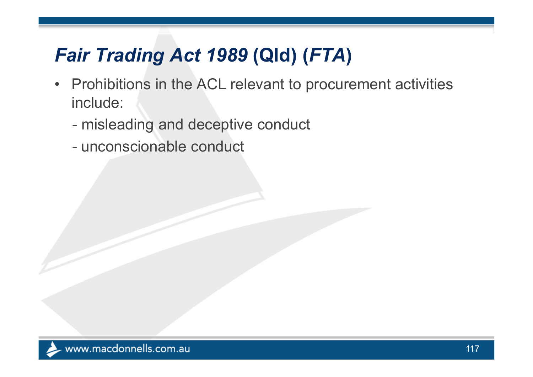# *Fair Trading Act 1989* **(Qld) (***FTA* **)**

- Prohibitions in the ACL relevant to procurement activities include:
	- $\mathcal{L}_{\mathcal{A}}$ misleading and deceptive conduct
	- unconscionable conduct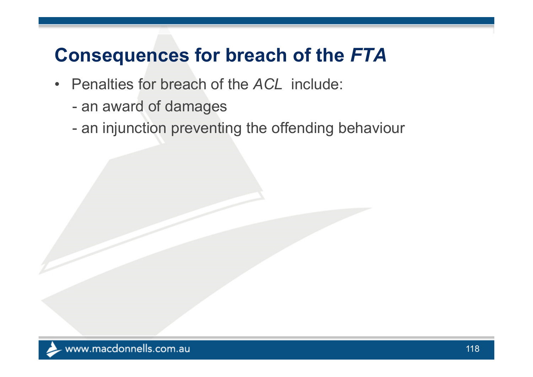#### **Consequences for breach of the** *FTA*

- $\bullet$  Penalties for breach of the *ACL* include:
	- an award of damages
	- an injunction preventing the offending behaviour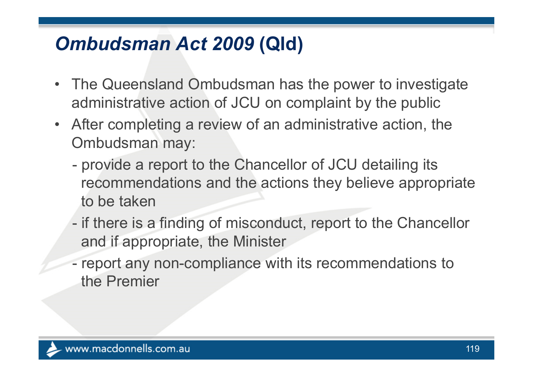#### *Ombudsman Act 2009* **(Qld)**

- • The Queensland Ombudsman has the power to investigate administrative action of JCU on complaint by the public
- • After completing a review of an administrative action, the Ombudsman may:
	- $\mathcal{L}_{\mathcal{A}}$  provide a report to the Chancellor of JCU detailing its recommendations and the actions they believe appropriate to be taken
	- $\mathcal{L}_{\mathcal{A}}$  if there is a finding of misconduct, report to the Chancellor and if appropriate, the Minister
	- $\mathcal{L}_{\mathcal{A}}$  report any non-compliance with its recommendations to the Premier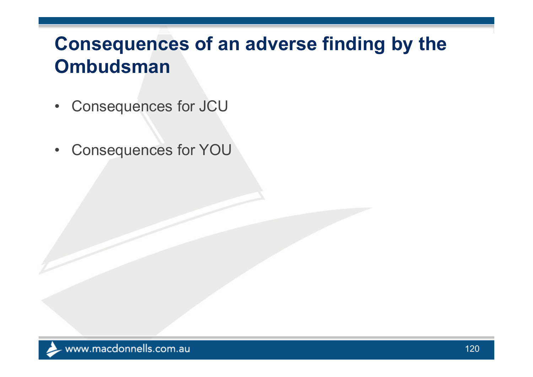#### **Consequences of an adverse finding by the Ombudsman**

- $\bullet$ Consequences for JCU
- •Consequences for YOU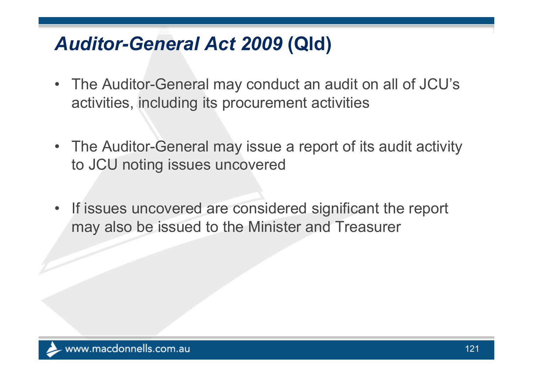#### *Auditor-General Act 2009* **(Qld)**

- The Auditor-General may conduct an audit on all of JCU's activities, including its procurement activities
- The Auditor-General may issue a report of its audit activity to JCU noting issues uncovered
- If issues uncovered are considered significant the report may also be issued to the Minister and Treasurer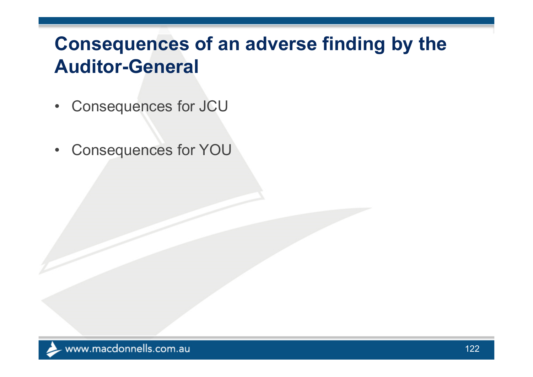#### **Consequences of an adverse finding by the Auditor-General**

- $\bullet$ Consequences for JCU
- •Consequences for YOU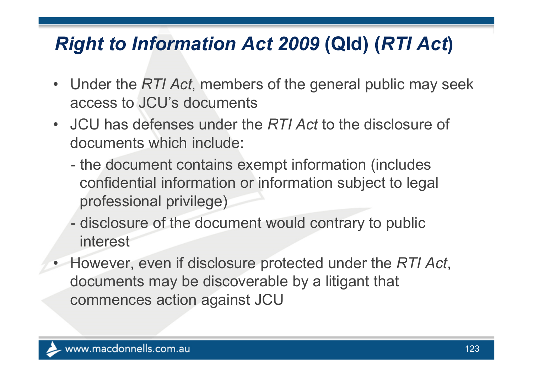### *Right to Information Act 2009* **(Qld) (***RTI Act***)**

- Under the *RTI Act*, members of the general public may seek access to JCU's documents
- JCU has defenses under the *RTI Act* to the disclosure of documents which include:
	- the document contains exempt information (includes confidential information or information subject to legal professional privilege)
	- disclosure of the document would contrary to public interest
- • However, even if disclosure protected under the *RTI Act*, documents may be discoverable by a litigant that commences action against JCU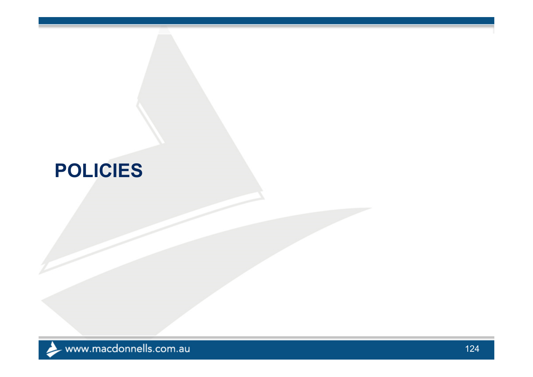#### **POLICIES**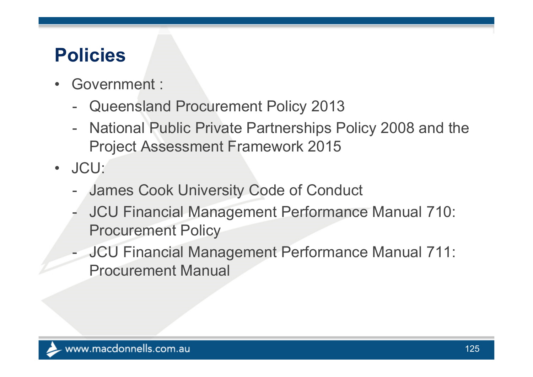# **Policies**

- $\bullet$  Government :
	- -Queensland Procurement Policy 2013
	- $\equiv$  National Public Private Partnerships Policy 2008 and the Project Assessment Framework 2015
- JCU:
	- -James Cook University Code of Conduct
	- $\mathcal{L}^{\text{max}}_{\text{max}}$  JCU Financial Management Performance Manual 710: Procurement Policy
	- $\mathcal{L}^{\text{max}}_{\text{max}}$  JCU Financial Management Performance Manual 711: Procurement Manual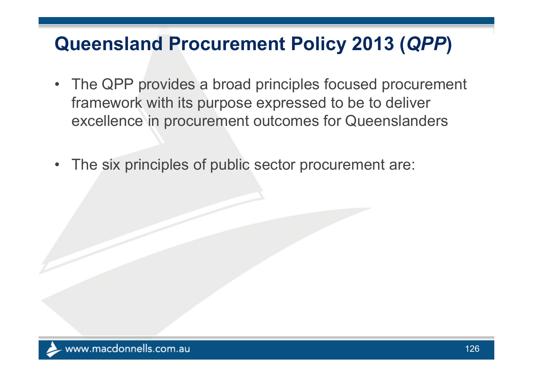#### **Queensland Procurement Policy 2013 (***QPP***)**

- The QPP provides a broad principles focused procurement framework with its purpose expressed to be to deliver excellence in procurement outcomes for Queenslanders
- The six principles of public sector procurement are: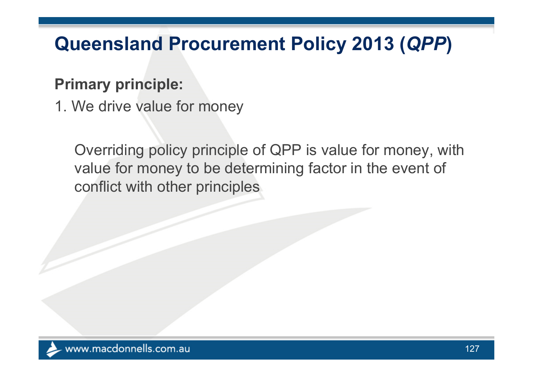#### **Queensland Procurement Policy 2013 (***QPP***)**

#### **Primary principle:**

1. We drive value for money

Overriding policy principle of QPP is value for money, with value for money to be determining factor in the event of conflict with other principles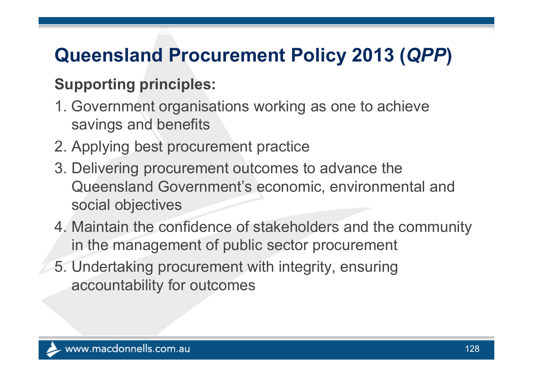### **Queensland Procurement Policy 2013 (***QPP***)**

#### **Supporting principles:**

- 1. Government organisations working as one to achieve savings and benefits
- 2. Applying best procurement practice
- 3. Delivering procurement outcomes to advance the Queensland Government's economic, environmental and social objectives
- 4. Maintain the confidence of stakeholders and the community in the management of public sector procurement
- 5. Undertaking procurement with integrity, ensuring accountability for outcomes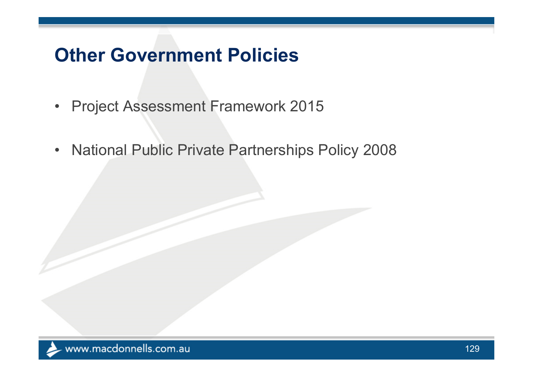#### **Other Government Policies**

- Project Assessment Framework 2015
- National Public Private Partnerships Policy 2008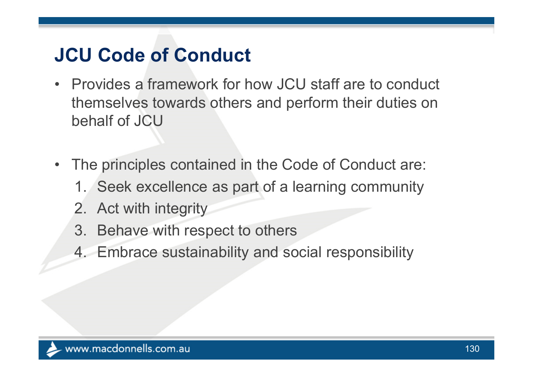# **JCU Code of Conduct**

- $\bullet$  Provides a framework for how JCU staff are to conduct themselves towards others and perform their duties on behalf of JCU
- $\bullet$  The principles contained in the Code of Conduct are:
	- 1. Seek excellence as part of a learning community
	- 2. Act with integrity
	- 3. Behave with respect to others
	- 4. Embrace sustainability and social responsibility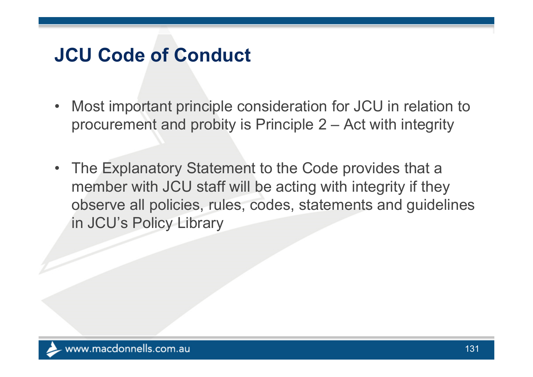### **JCU Code of Conduct**

- • Most important principle consideration for JCU in relation to procurement and probity is Principle 2 – Act with integrity
- The Explanatory Statement to the Code provides that a member with JCU staff will be acting with integrity if they observe all policies, rules, codes, statements and guidelines in JCU's Policy Library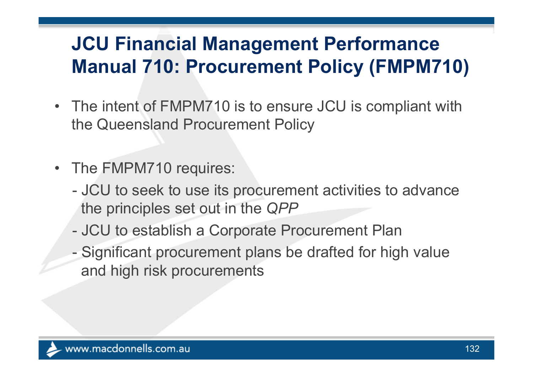### **JCU Financial Management Performance Manual 710: Procurement Policy (FMPM710)**

- The intent of FMPM710 is to ensure JCU is compliant with the Queensland Procurement Policy
- The FMPM710 requires:
	- - JCU to seek to use its procurement activities to advance the principles set out in the *QPP*
	- -JCU to establish a Corporate Procurement Plan
	- $\mathcal{L}^{\text{max}}_{\text{max}}$  Significant procurement plans be drafted for high value and high risk procurements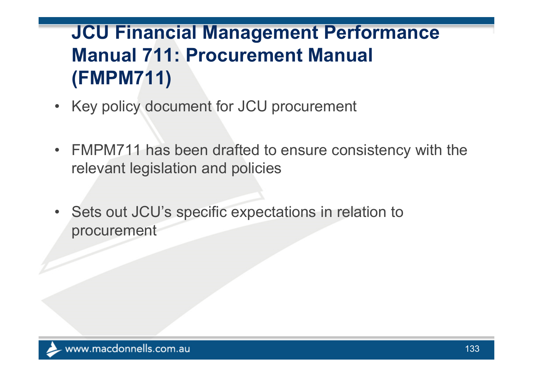### **JCU Financial Management Performance Manual 711: Procurement Manual (FMPM711)**

- Key policy document for JCU procurement
- FMPM711 has been drafted to ensure consistency with the relevant legislation and policies
- $\bullet$  Sets out JCU's specific expectations in relation to procurement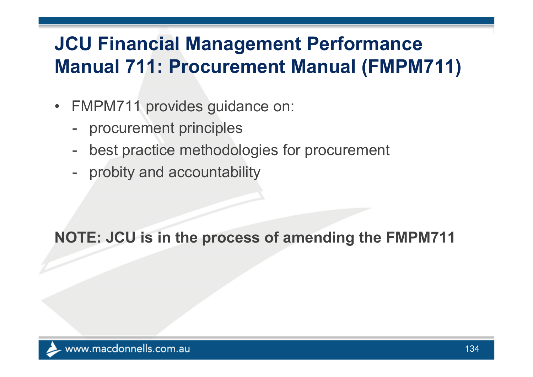### **JCU Financial Management Performance Manual 711: Procurement Manual (FMPM711)**

- FMPM711 provides guidance on:
	- procurement principles
	- best practice methodologies for procurement
	- $\mathcal{L}^{\text{max}}_{\text{max}}$ probity and accountability

#### **NOTE: JCU is in the process of amending the FMPM711**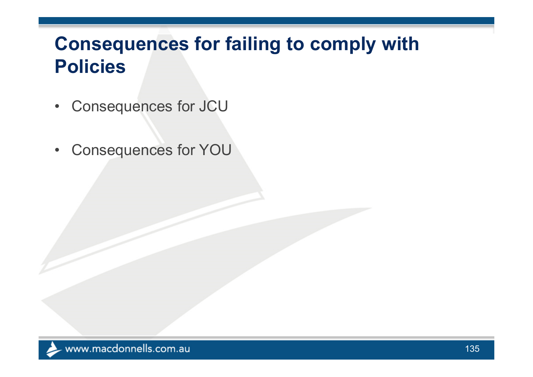#### **Consequences for failing to comply with Policies**

- $\bullet$ Consequences for JCU
- •Consequences for YOU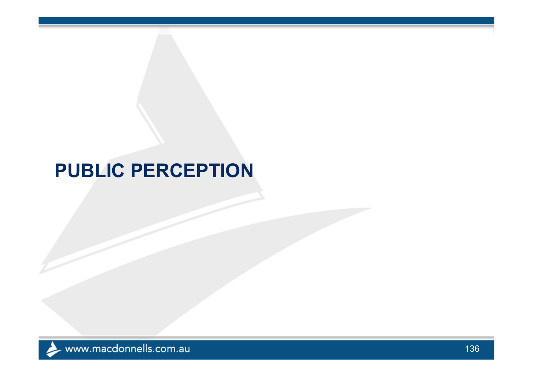#### **PUBLIC PERCEPTION**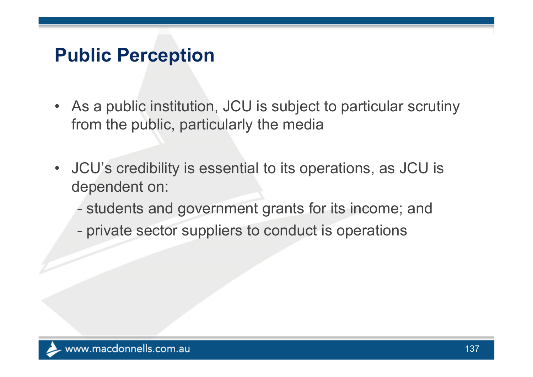#### **Public Perception**

- As a public institution, JCU is subject to particular scrutiny from the public, particularly the media
- • JCU's credibility is essential to its operations, as JCU is dependent on:
	- students and government grants for its income; and
	- private sector suppliers to conduct is operations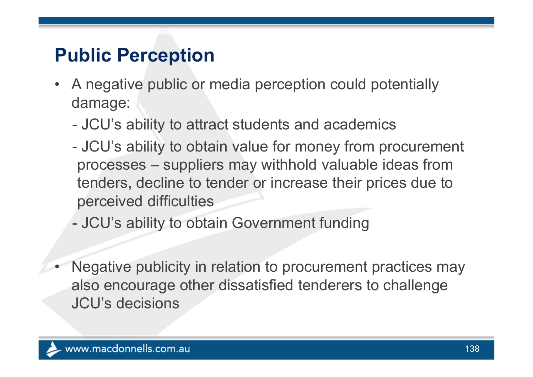#### **Public Perception**

- • A negative public or media perception could potentially damage:
	- $\mathcal{L}_{\mathcal{A}}$ JCU's ability to attract students and academics
	- - JCU's ability to obtain value for money from procurement processes – suppliers may withhold valuable ideas from tenders, decline to tender or increase their prices due to perceived difficulties
	- $\mathcal{L}_{\mathcal{A}}$ JCU's ability to obtain Government funding
- • Negative publicity in relation to procurement practices may also encourage other dissatisfied tenderers to challenge JCU's decisions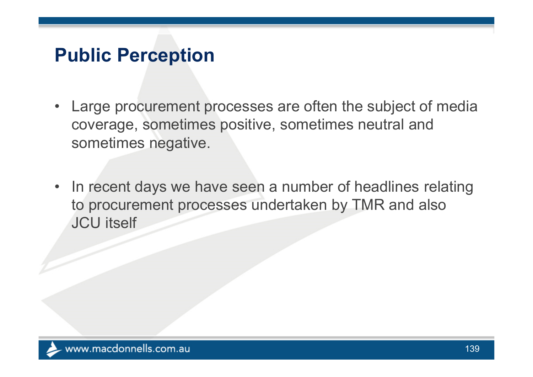#### **Public Perception**

- • Large procurement processes are often the subject of media coverage, sometimes positive, sometimes neutral and sometimes negative.
- $\bullet$  . In recent days we have seen a number of headlines relating to procurement processes undertaken by TMR and also JCU itself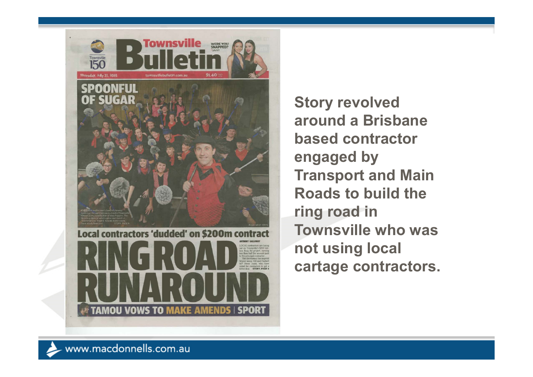

**Story revolved around a Brisbane based contractor engaged by Transport and Main Roads to build the ring road in Townsville who was not using local cartage contractors.**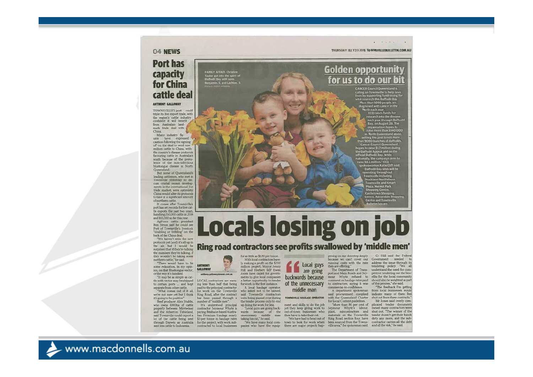#### **04 NEWS**

#### **Port has** capacity for China cattle deal

#### ANTHONY GALLOWAY

TOWNSVILLE'S port could trinle its live export trade with the region's cattle industry confident it will benefit from Australia's landmark trade deal with China. Many industry fig-

ures have expressed caution following the signing off on the deal to send one million cattle to China, with the country's disease protocol favouring cattle in Australia's south because of the prevalence of the non-infectious bluetongue disease in North Oueensland

But some of Queensland's leading cattlemen, who met in Townsville yesterday to discuss crucial recent develop ments in the international live trade market, were optimisti-China would alter its protocols to take in a significant amount of northern cattle. It comes after Townsville's

port has set records for live cattie exports the past two years handling 250,000 cattle in 2014 and 165,000 so far this year. AgForce cattle president Bim Struss said he could see Port of Townsville's livestock

"doubling or trebling" on the back of the China deal. "We haven't seen the new protocols yet (and) it's all up in the air, but I would be surprised that if they're talking the numbers they're talking, if they wouldn't be taking some

northern cattle," he said. "There would have to be some relaxation, in my opinion, on that Bluetongue vector, or the way it's handled. "It may be as simple as cat-

tle with vector may be shipped LOCAL contractors are earnto certain ports ... and kept separate from other cattle.

it's going to be positive." Beef producer Alex Stubbs, number of "middle men". said Townsville could export a

www.macdonnells.com.au

**ANTHONY GALLOWAY** anthony.galloway@news.com.au

**FAMILY AFFAIR: Christine**<br>Taylor got into the spirit of<br>Daffodil Day with sons<br>Benjamin, 5, and Lachlan, 3.

ing less than half that being paid to the principal contractor "What comes out of it all. for work on the Townsville who asked not to be named. we're not sure yet but I think Ring Road, after the contract said Townsville contractors has been passed through a were being passed over during

and the Atherton Tableland, paying Brisbane-based Austra- wards because of the lian Premium Haulage nearly lot of the cattle being sent \$3 per tonne in haulage rates through Darwin as Australia for the project, with work subsent less cattle to Indonesia. contracted to local businesses panies who have the equip- there are major projects hap- ville area," the spokesman said. and all the risk," he said.



ments to give local companies a better opportunity to tender for work in the first instance. A local haulage operator, the tender process only to end

unnecessary middle man taking his cut," he said.

Local guys **The are going** backwards because of the unnecessary middle man

**Locals losing on job** 

TOWNSVILLE HAULAGE OPERATOR out-of-town businesses who then have to take their cut.

they are offering." commercial-in-confidence.

Cr Hill said the Federal tendering policy. "We all "The feedback I'm getting

A PROVINCIA PARK

THURSDAY JLL Y23 2015 TO WNSVILLEBULLETIN.COM.AU

**Golden opportunity** 

for us to do our bit

**CANCER Council Queensland is<br>calling on Townsville to help save** 

Example of a compared to the state of the visit of the state of the state of the state of the state of the state of the state of the state of the state of the state of the state of the state of the state of the state of th

prosed with cancer<br>for the contract of the contract of the contract into the disease<br>research into the disease<br>each year fhrough Dalfodil<br>Day, on August 28. The<br>rates from the rate may be a rate more than 9100 bunches of d

official Darfold Day, while<br>nationally the campaign aims to raise S8.5 million,"<br>CQ monatorial space of the properties of the properties of<br>the properties of the control of the properties of the properties<br>of the control o

with the Queensland Charter shut out from these contracts." for Local Content guidelines. Mr Jones said overly com who owns 1000ha of cattle 1t's understood principal updoing the work for less. ment and skills to do the job "More than 80 per cent of plicated tender documents property between Mirriwinni contractor Seymour Whyte is "Loca plant, subcontractors and shut out. "The winner of the materials on the Townsville tender doesn't get their hands "We have had to head out of Ring Road, section four, have dirty any more, and the sub-"We have many local com- town to look for work when been sourced from the Towns- contractor carries all the debt

pening on our doorstep simply because we can't cover our Government needed running costs with the rate address the issue through its The Department of Trans- understand the need for comport and Main Roads and Sey- petitive tendering but the benmour Whyte refused to efits for the local community comment on haulage rates paid should also be weighted as part to contractors, saying it was of this process," she said. A department spokesman from local businesses would said procurement complied indicate many of them feel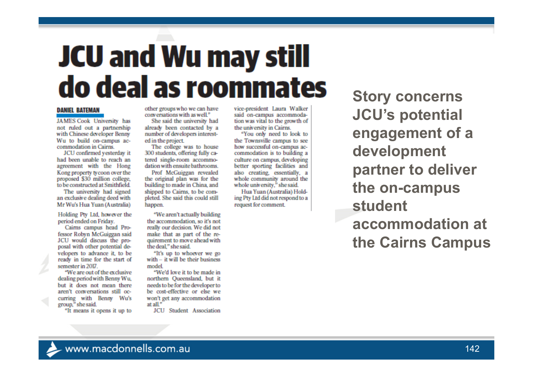# **JCU and Wu may still** do deal as roommates

#### **DANIEL BATEMAN**

JAMES Cook University has not ruled out a partnership with Chinese developer Benny Wu to build on-campus accommodation in Cairns.

JCU confirmed yesterday it had been unable to reach an agreement with the Hong Kong property tycoon over the proposed \$30 million college. to be constructed at Smithfield.

The university had signed an exclusive dealing deed with Mr Wu's Hua Yuan (Australia)

Holding Pty Ltd, however the period ended on Friday.

Cairns campus head Professor Robyn McGuiggan said JCU would discuss the proposal with other potential developers to advance it, to be ready in time for the start of semester in 2017.

"We are out of the exclusive dealing period with Benny Wu. but it does not mean there aren't conversations still occurring with Benny Wu's group." she said.

"It means it opens it up to

other groups who we can have conversations with as well."

She said the university had already been contacted by a number of developers interested in the project.

The college was to house 300 students, offering fully catered single-room accommodation with ensuite bathrooms.

Prof McGuiggan revealed the original plan was for the building to made in China, and shipped to Cairns, to be completed. She said this could still happen.

"We aren't actually building the accommodation, so it's not really our decision. We did not make that as part of the requirement to move ahead with the deal." she said.

"It's up to whoever we go with - it will be their business model

"We'd love it to be made in northern Queensland, but it needs to be for the developer to be cost-effective or else we won't get any accommodation  $at$  all  $"$ 

**JCU** Student Association

vice-president Laura Walker said on-campus accommodation was vital to the growth of the university in Cairns.

"You only need to look to the Townsville campus to see how successful on-campus accommodation is to building a culture on campus, developing better sporting facilities and also creating, essentially, a whole community around the whole university," she said.

Hua Yuan (Australia) Holding Pty Ltd did not respond to a request for comment.

**Story concerns JCU's potential engagement of a development partner to deliver the on-campus student accommodation at the Cairns Campus**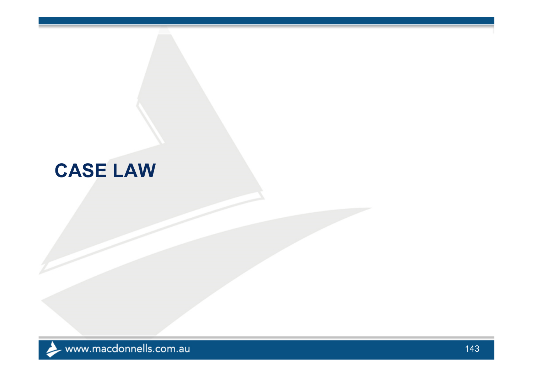#### **CASE LAW**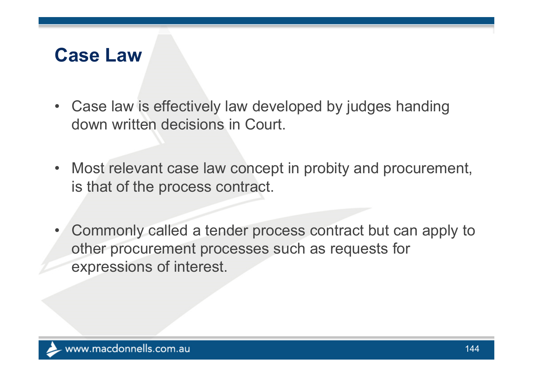#### **Case Law**

- $\bullet$  Case law is effectively law developed by judges handing down written decisions in Court.
- Most relevant case law concept in probity and procurement, is that of the process contract.
- $\bullet$  Commonly called a tender process contract but can apply to other procurement processes such as requests for expressions of interest.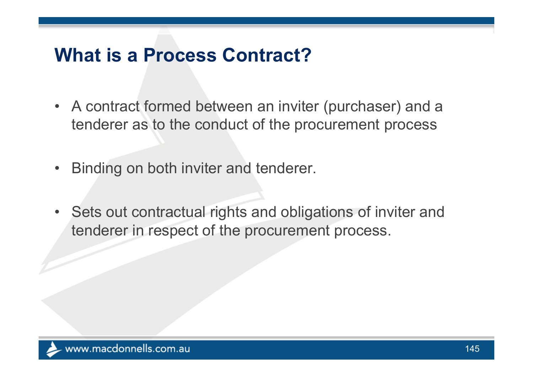#### **What is a Process Contract?**

- A contract formed between an inviter (purchaser) and a tenderer as to the conduct of the procurement process
- Binding on both inviter and tenderer.
- Sets out contractual rights and obligations of inviter and tenderer in respect of the procurement process.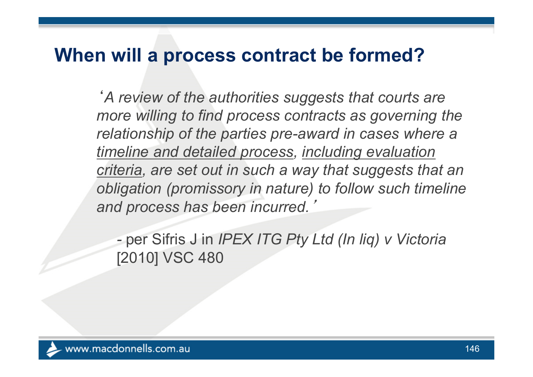#### **When will a process contract be formed?**

'*A review of the authorities suggests that courts are more willing to find process contracts as governing the relationship of the parties pre-award in cases where a timeline and detailed process, including evaluation criteria, are set out in such a way that suggests that an obligation (promissory in nature) to follow such timeline and process has been incurred.* '

 per Sifris J in *IPEX ITG Pty Ltd (In liq) v Victoria*  [2010] VSC 480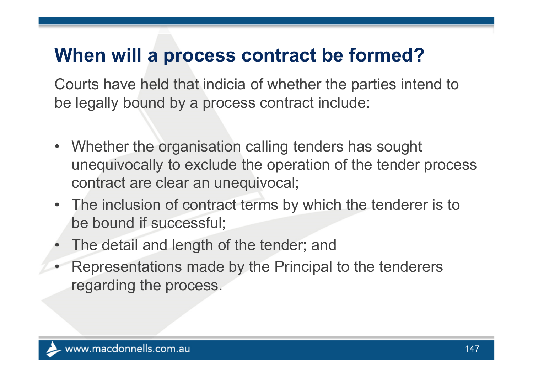#### **When will a process contract be formed?**

Courts have held that indicia of whether the parties intend to be legally bound by a process contract include:

- Whether the organisation calling tenders has sought unequivocally to exclude the operation of the tender process contract are clear an unequivocal;
- The inclusion of contract terms by which the tenderer is to be bound if successful;
- The detail and length of the tender; and
- • Representations made by the Principal to the tenderers regarding the process.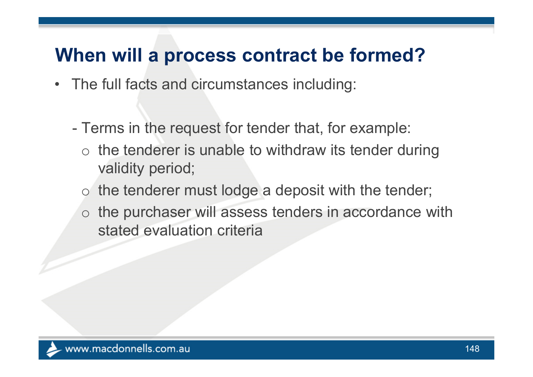#### **When will a process contract be formed?**

- The full facts and circumstances including:
	- - Terms in the request for tender that, for example:
		- $\circ$  the tenderer is unable to withdraw its tender during validity period;
		- o the tenderer must lodge a deposit with the tender;
		- o the purchaser will assess tenders in accordance with stated evaluation criteria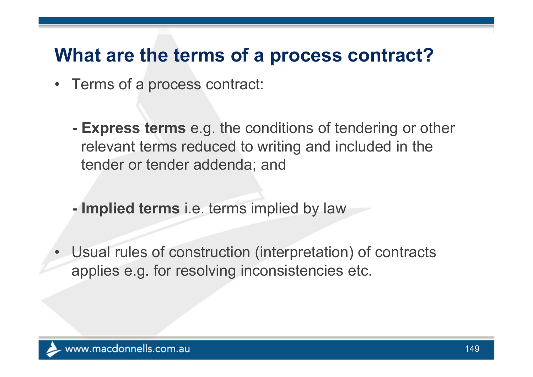#### **What are the terms of a process contract?**

- Terms of a process contract:
	- **-Express terms** e.g. the conditions of tendering or other relevant terms reduced to writing and included in the tender or tender addenda; and
	- **- Implied terms** i.e. terms implied by law
- Usual rules of construction (interpretation) of contracts applies e.g. for resolving inconsistencies etc.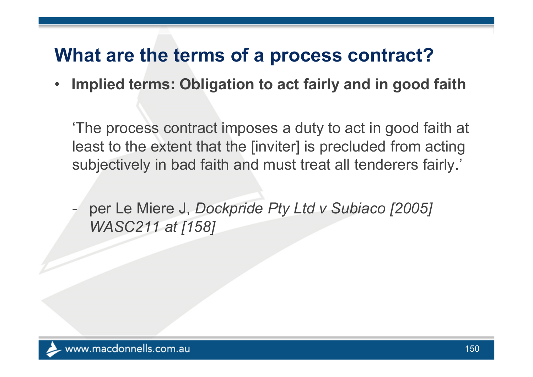#### **What are the terms of a process contract?**

 $\bullet$ **Implied terms: Obligation to act fairly and in good faith**

'The process contract imposes a duty to act in good faith at least to the extent that the [inviter] is precluded from acting subjectively in bad faith and must treat all tenderers fairly.'

 per Le Miere J, *Dockpride Pty Ltd v Subiaco [2005] WASC211 at [158]*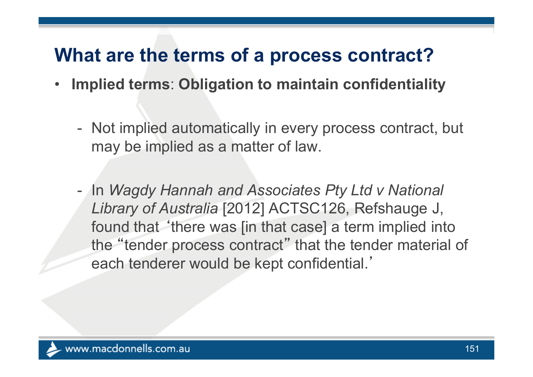#### **What are the terms of a process contract?**

- $\bullet$  **Implied terms**: **Obligation to maintain confidentiality**
	- - Not implied automatically in every process contract, but may be implied as a matter of law.
	- - In *Wagdy Hannah and Associates Pty Ltd v National Library of Australia* [2012] ACTSC126, Refshauge J, found that 'there was [in that case] a term implied into the "tender process contract " that the tender material of each tenderer would be kept confidential.'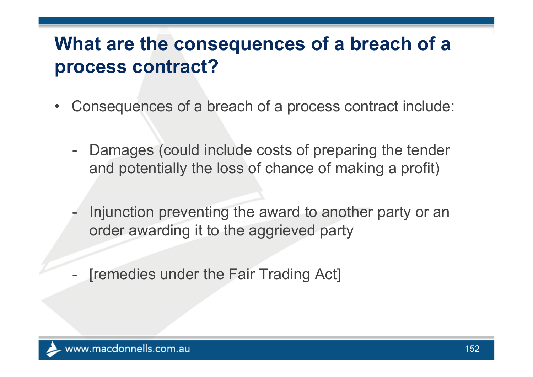## **What are the consequences of a breach of a process contract?**

- $\bullet$  Consequences of a breach of a process contract include:
	- $\overline{\phantom{0}}$  Damages (could include costs of preparing the tender and potentially the loss of chance of making a profit)
	- $\mathcal{L}^{\text{max}}_{\text{max}}$  Injunction preventing the award to another party or an order awarding it to the aggrieved party
	- -[remedies under the Fair Trading Act]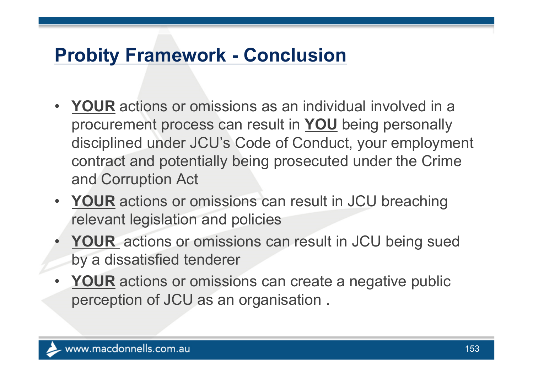#### **Probity Framework - Conclusion**

- **YOUR** actions or omissions as an individual involved in a procurement process can result in **YOU** being personally disciplined under JCU's Code of Conduct, your employment contract and potentially being prosecuted under the Crime and Corruption Act
- **YOUR** actions or omissions can result in JCU breaching relevant legislation and policies
- **YOUR** actions or omissions can result in JCU being sued by a dissatisfied tenderer
- **YOUR** actions or omissions can create a negative public perception of JCU as an organisation .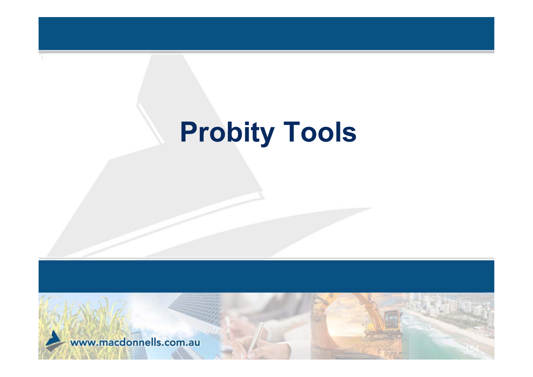# **Probity Tools**

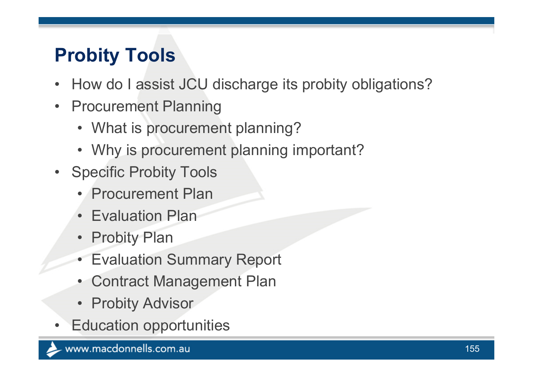# **Probity Tools**

- $\bullet$ How do I assist JCU discharge its probity obligations?
- $\bullet$  Procurement Planning
	- What is procurement planning?
	- Why is procurement planning important?
- Specific Probity Tools
	- Procurement Plan
	- Evaluation Plan
	- Probity Plan
	- Evaluation Summary Report
	- •Contract Management Plan
	- Probity Advisor
- •Education opportunities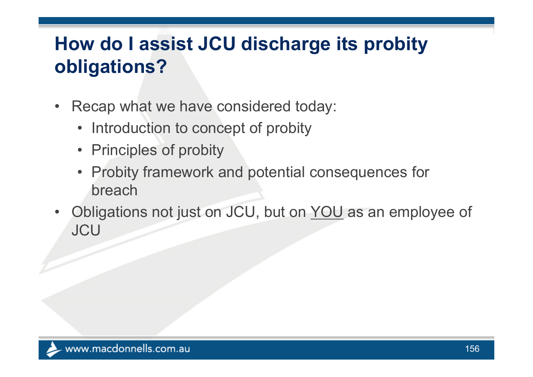# **How do I assist JCU discharge its probity obligations?**

- $\bullet$  Recap what we have considered today:
	- Introduction to concept of probity
	- Principles of probity
	- Probity framework and potential consequences for breach
- • Obligations not just on JCU, but on YOU as an employee of **JCU**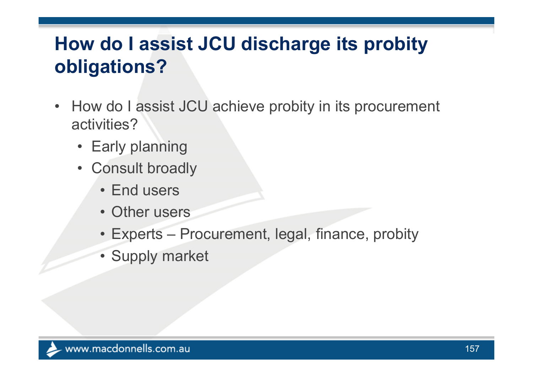# **How do I assist JCU discharge its probity obligations?**

- How do I assist JCU achieve probity in its procurement activities?
	- Early planning
	- Consult broadly
		- End users
		- Other users
		- Experts Procurement, legal, finance, probity
		- Supply market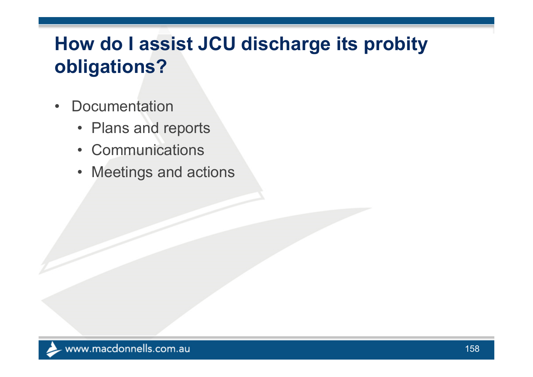# **How do I assist JCU discharge its probity obligations?**

- $\bullet$ **Documentation** 
	- Plans and reports
	- Communications
	- Meetings and actions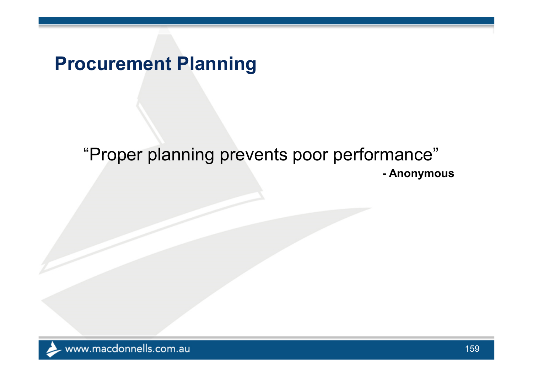#### **Procurement Planning**

#### "Proper planning prevents poor performance" **- Anonymous**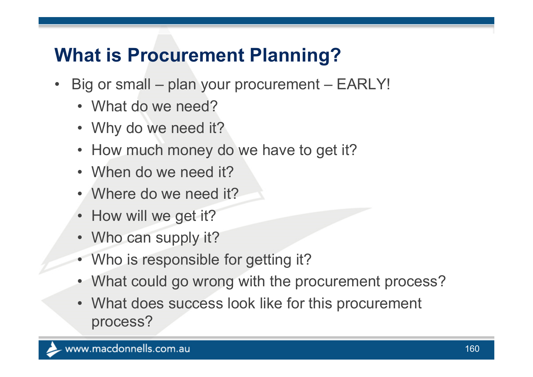# **What is Procurement Planning?**

- $\bullet$  Big or small – plan your procurement – EARLY!
	- What do we need?
	- Why do we need it?
	- How much money do we have to get it?
	- When do we need it?
	- Where do we need it?
	- How will we get it?
	- Who can supply it?
	- Who is responsible for getting it?
	- What could go wrong with the procurement process?
	- What does success look like for this procurement process?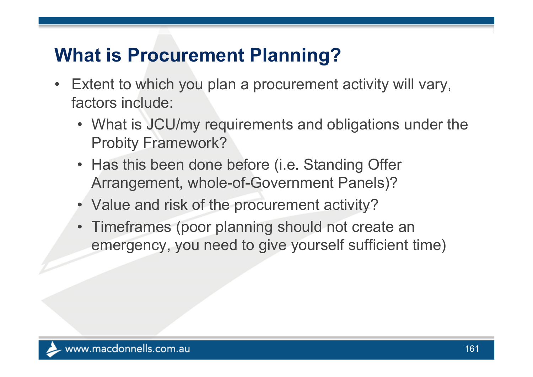# **What is Procurement Planning?**

- Extent to which you plan a procurement activity will vary, factors include:
	- What is JCU/my requirements and obligations under the Probity Framework?
	- Has this been done before (i.e. Standing Offer Arrangement, whole-of-Government Panels)?
	- Value and risk of the procurement activity?
	- Timeframes (poor planning should not create an emergency, you need to give yourself sufficient time)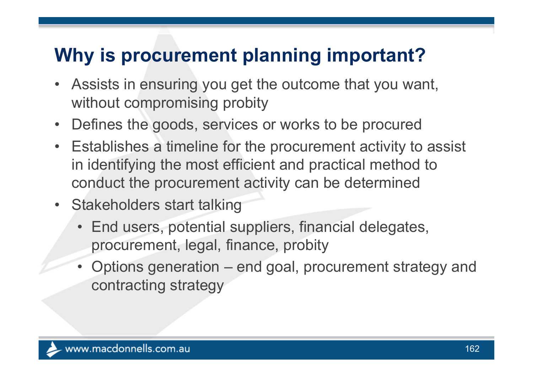# **Why is procurement planning important?**

- • Assists in ensuring you get the outcome that you want, without compromising probity
- $\bullet$ Defines the goods, services or works to be procured
- Establishes a timeline for the procurement activity to assist in identifying the most efficient and practical method to conduct the procurement activity can be determined
- Stakeholders start talking
	- End users, potential suppliers, financial delegates, procurement, legal, finance, probity
	- Options generation end goal, procurement strategy and contracting strategy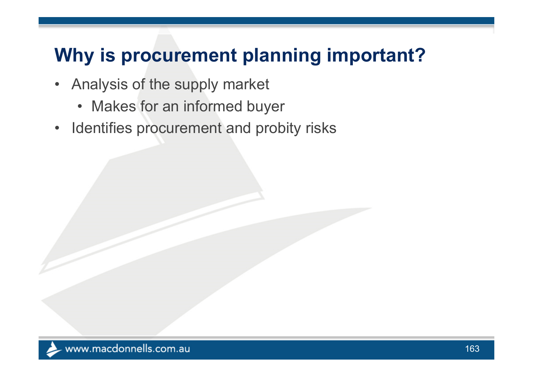## **Why is procurement planning important?**

- Analysis of the supply market
	- Makes for an informed buyer
- Identifies procurement and probity risks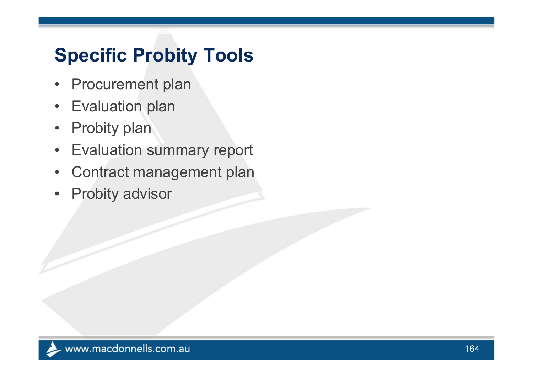# **Specific Probity Tools**

- $\bullet$ Procurement plan
- $\bullet$ Evaluation plan
- $\bullet$ Probity plan
- $\bullet$ Evaluation summary report
- $\bullet$ Contract management plan
- $\bullet$ Probity advisor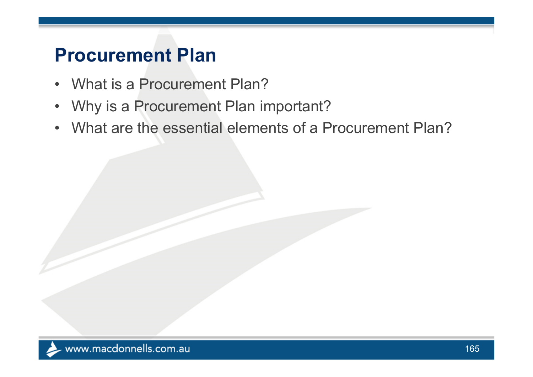#### **Procurement Plan**

- What is a Procurement Plan?
- •Why is a Procurement Plan important?
- What are the essential elements of a Procurement Plan?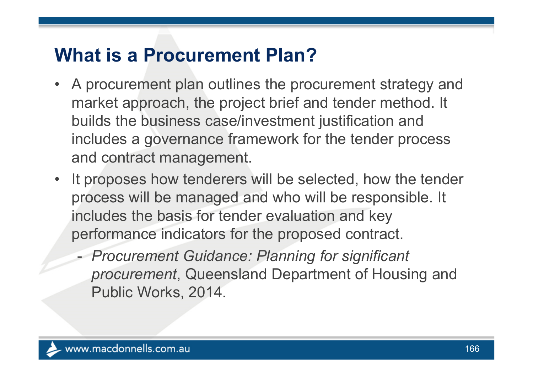#### **What is a Procurement Plan?**

- A procurement plan outlines the procurement strategy and market approach, the project brief and tender method. It builds the business case/investment justification and includes a governance framework for the tender process and contract management.
- It proposes how tenderers will be selected, how the tender process will be managed and who will be responsible. It includes the basis for tender evaluation and key performance indicators for the proposed contract.
	- - *Procurement Guidance: Planning for significant procurement*, Queensland Department of Housing and Public Works, 2014.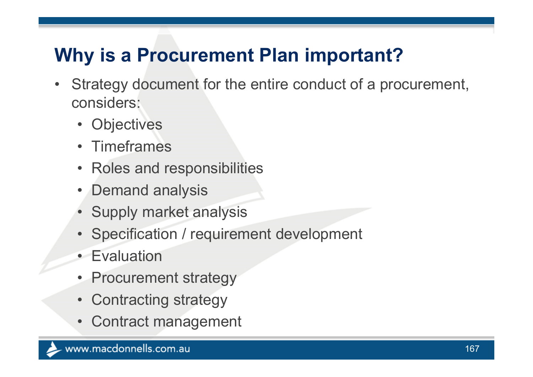# **Why is a Procurement Plan important?**

- $\bullet$  Strategy document for the entire conduct of a procurement, considers:
	- Objectives
	- Timeframes
	- Roles and responsibilities
	- Demand analysis
	- Supply market analysis
	- Specification / requirement development
	- Evaluation
	- Procurement strategy
	- Contracting strategy
	- •Contract management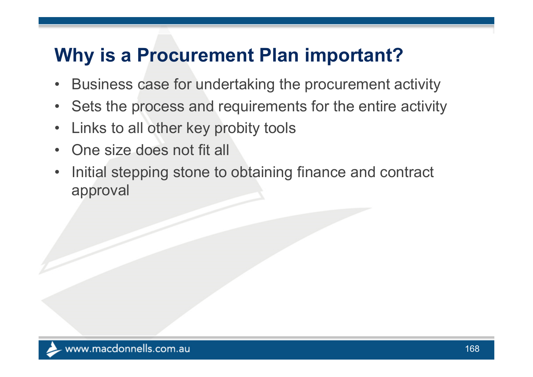## **Why is a Procurement Plan important?**

- $\bullet$ Business case for undertaking the procurement activity
- $\bullet$ Sets the process and requirements for the entire activity
- •Links to all other key probity tools
- •One size does not fit all
- $\bullet$  Initial stepping stone to obtaining finance and contract approval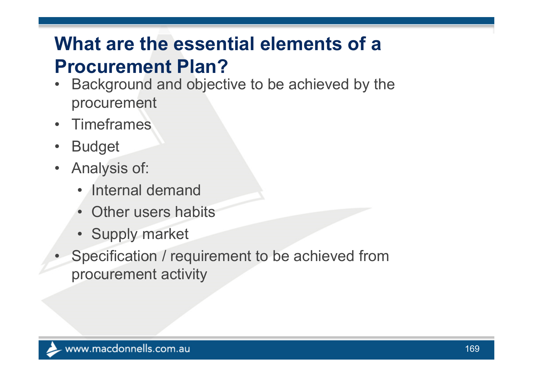# **What are the essential elements of a Procurement Plan?**

- • Background and objective to be achieved by the procurement
- •**Timeframes**
- •Budget
- Analysis of:
	- Internal demand
	- Other users habits
	- Supply market
- Specification / requirement to be achieved from procurement activity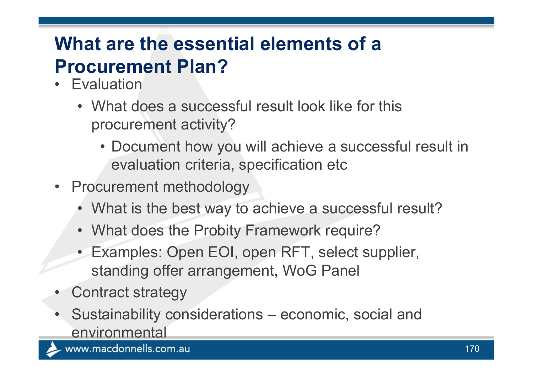# **What are the essential elements of a Procurement Plan?**

- Evaluation
	- What does a successful result look like for this procurement activity?
		- Document how you will achieve a successful result in evaluation criteria, specification etc
- Procurement methodology
	- What is the best way to achieve a successful result?
	- What does the Probity Framework require?
	- Examples: Open EOI, open RFT, select supplier, standing offer arrangement, WoG Panel
- •Contract strategy
- • Sustainability considerations – economic, social and environmental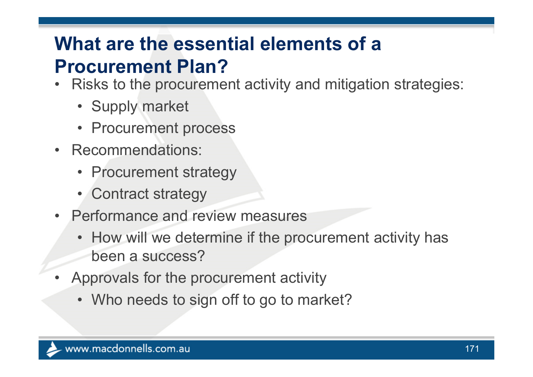# **What are the essential elements of a Procurement Plan?**

- $\bullet$  Risks to the procurement activity and mitigation strategies:
	- Supply market
	- Procurement process
- Recommendations:
	- Procurement strategy
	- Contract strategy
- Performance and review measures
	- How will we determine if the procurement activity has been a success?
- • Approvals for the procurement activity
	- Who needs to sign off to go to market?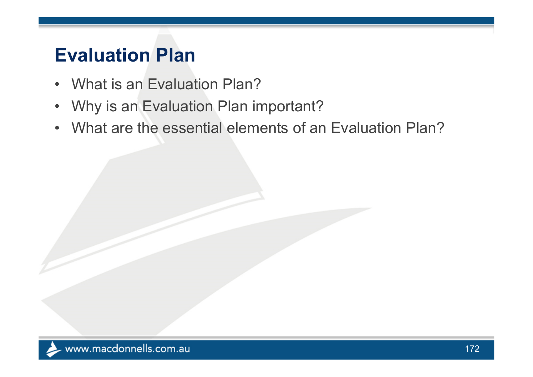# **Evaluation Plan**

- What is an Evaluation Plan?
- $\bullet$ Why is an Evaluation Plan important?
- What are the essential elements of an Evaluation Plan?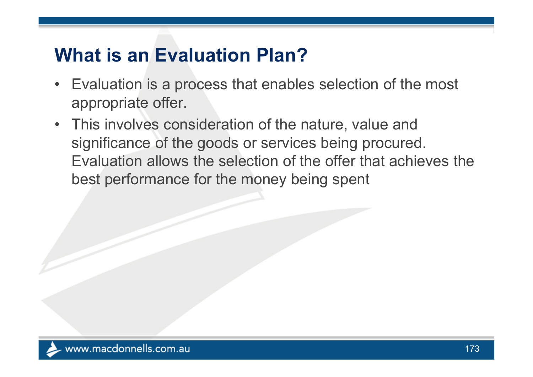### **What is an Evaluation Plan?**

- • Evaluation is a process that enables selection of the most appropriate offer.
- This involves consideration of the nature, value and significance of the goods or services being procured. Evaluation allows the selection of the offer that achieves the best performance for the money being spent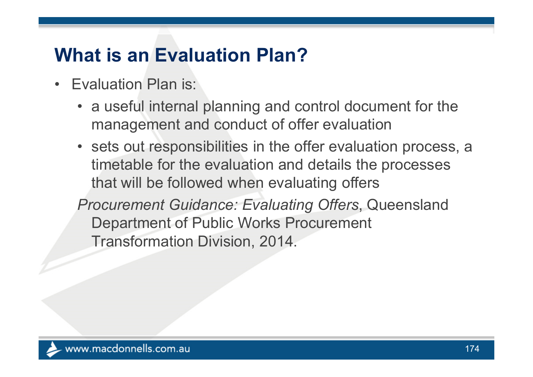# **What is an Evaluation Plan?**

- Evaluation Plan is:
	- a useful internal planning and control document for the management and conduct of offer evaluation
	- sets out responsibilities in the offer evaluation process, a timetable for the evaluation and details the processes that will be followed when evaluating offers

*Procurement Guidance: Evaluating Offers*, Queensland Department of Public Works Procurement Transformation Division, 2014.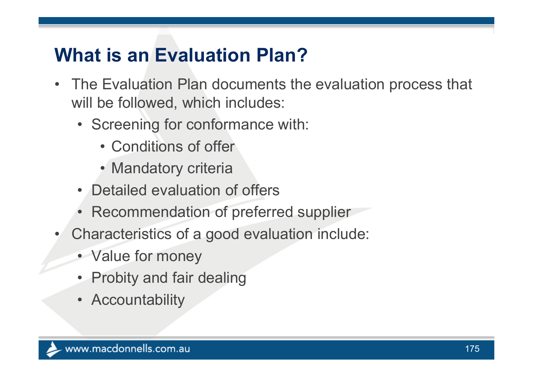# **What is an Evaluation Plan?**

- The Evaluation Plan documents the evaluation process that will be followed, which includes:
	- Screening for conformance with:
		- Conditions of offer
		- Mandatory criteria
	- Detailed evaluation of offers
	- Recommendation of preferred supplier
- • Characteristics of a good evaluation include:
	- Value for money
	- Probity and fair dealing
	- Accountability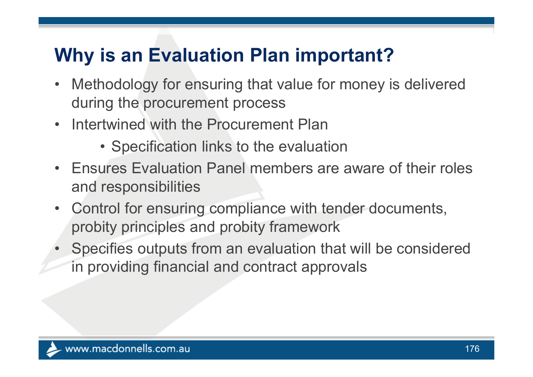## **Why is an Evaluation Plan important?**

- $\bullet$  . Methodology for ensuring that value for money is delivered during the procurement process
- • Intertwined with the Procurement Plan
	- Specification links to the evaluation
- Ensures Evaluation Panel members are aware of their roles and responsibilities
- $\bullet$  Control for ensuring compliance with tender documents, probity principles and probity framework
- • Specifies outputs from an evaluation that will be considered in providing financial and contract approvals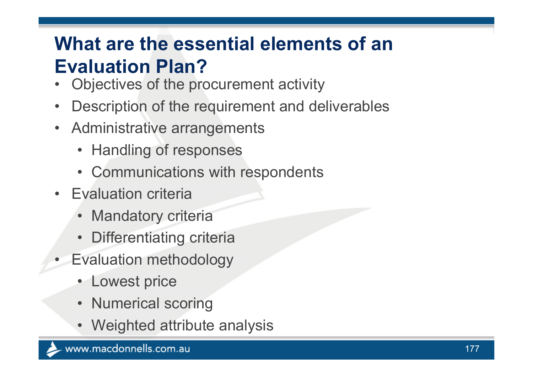# **What are the essential elements of an Evaluation Plan?**

- •Objectives of the procurement activity
- $\bullet$ Description of the requirement and deliverables
- Administrative arrangements
	- Handling of responses
	- Communications with respondents
- Evaluation criteria
	- Mandatory criteria
	- Differentiating criteria
- • Evaluation methodology
	- Lowest price
	- Numerical scoring
	- Weighted attribute analysis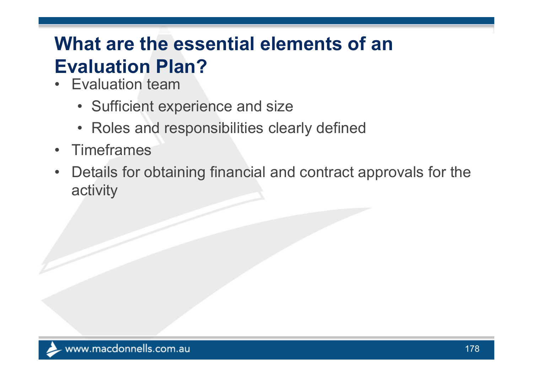# **What are the essential elements of an Evaluation Plan?**

- Evaluation team
	- Sufficient experience and size
	- Roles and responsibilities clearly defined
- •**Timeframes**
- $\bullet$  Details for obtaining financial and contract approvals for the activity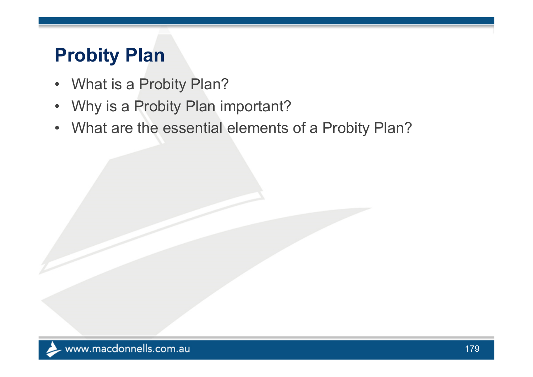# **Probity Plan**

- What is a Probity Plan?
- $\bullet$ Why is a Probity Plan important?
- What are the essential elements of a Probity Plan?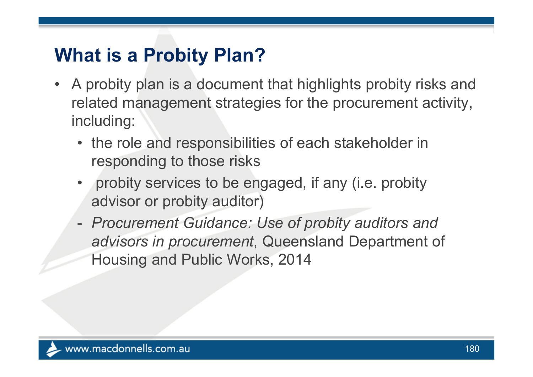# **What is a Probity Plan?**

- A probity plan is a document that highlights probity risks and related management strategies for the procurement activity, including:
	- the role and responsibilities of each stakeholder in responding to those risks
	- probity services to be engaged, if any (i.e. probity advisor or probity auditor)
	- - *Procurement Guidance: Use of probity auditors and advisors in procurement*, Queensland Department of Housing and Public Works, 2014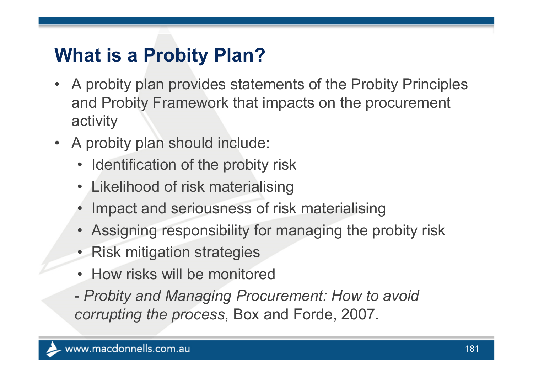## **What is a Probity Plan?**

- A probity plan provides statements of the Probity Principles and Probity Framework that impacts on the procurement activity
- A probity plan should include:
	- Identification of the probity risk
	- Likelihood of risk materialising
	- Impact and seriousness of risk materialising
	- Assigning responsibility for managing the probity risk
	- Risk mitigation strategies
	- How risks will be monitored
	- - *Probity and Managing Procurement: How to avoid corrupting the process*, Box and Forde, 2007.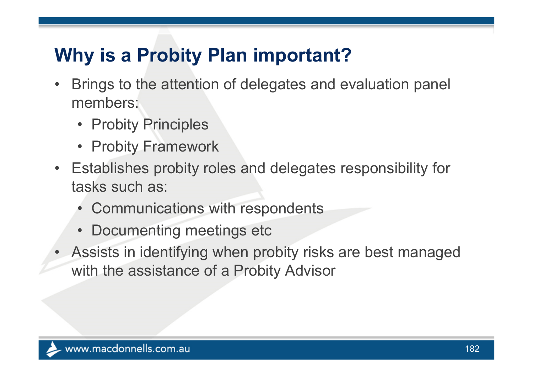#### **Why is a Probity Plan important?**

- $\bullet$  Brings to the attention of delegates and evaluation panel members:
	- Probity Principles
	- Probity Framework
- Establishes probity roles and delegates responsibility for tasks such as:
	- Communications with respondents
	- Documenting meetings etc
- Assists in identifying when probity risks are best managed with the assistance of a Probity Advisor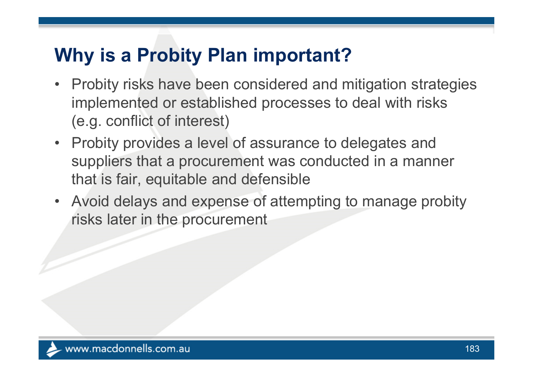#### **Why is a Probity Plan important?**

- Probity risks have been considered and mitigation strategies implemented or established processes to deal with risks (e.g. conflict of interest)
- Probity provides a level of assurance to delegates and suppliers that a procurement was conducted in a manner that is fair, equitable and defensible
- Avoid delays and expense of attempting to manage probity risks later in the procurement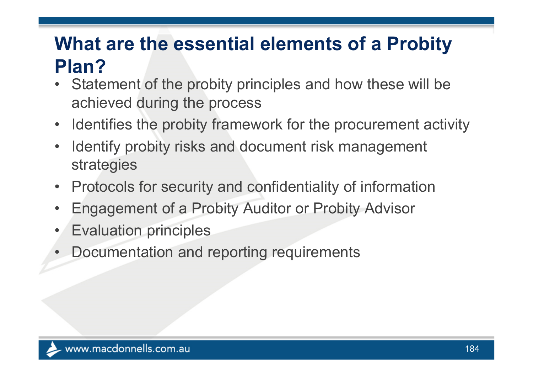### **What are the essential elements of a Probity Plan?**

- Statement of the probity principles and how these will be achieved during the process
- $\bullet$ Identifies the probity framework for the procurement activity
- • Identify probity risks and document risk management strategies
- $\bullet$ Protocols for security and confidentiality of information
- •Engagement of a Probity Auditor or Probity Advisor
- $\bullet$ Evaluation principles
- •Documentation and reporting requirements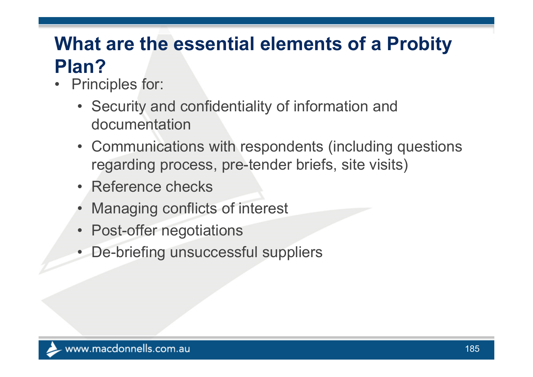#### **What are the essential elements of a Probity Plan?**

- $\bullet$  Principles for:
	- Security and confidentiality of information and documentation
	- Communications with respondents (including questions regarding process, pre-tender briefs, site visits)
	- Reference checks
	- •Managing conflicts of interest
	- Post-offer negotiations
	- De-briefing unsuccessful suppliers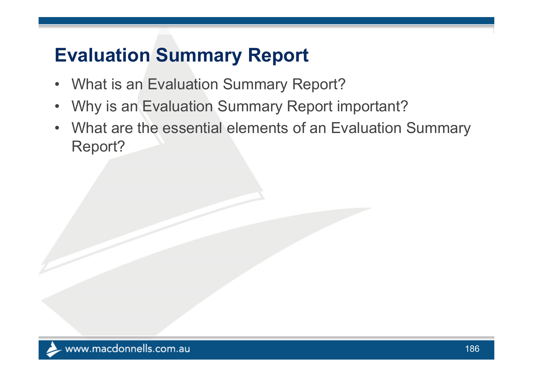### **Evaluation Summary Report**

- What is an Evaluation Summary Report?
- $\bullet$ Why is an Evaluation Summary Report important?
- $\bullet$  What are the essential elements of an Evaluation Summary Report?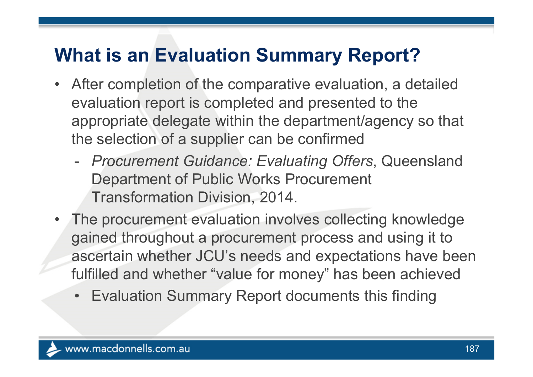#### **What is an Evaluation Summary Report?**

- $\bullet$  After completion of the comparative evaluation, a detailed evaluation report is completed and presented to the appropriate delegate within the department/agency so that the selection of a supplier can be confirmed
	- $\mathcal{L}_{\mathcal{A}}$  *Procurement Guidance: Evaluating Offers*, Queensland Department of Public Works Procurement Transformation Division, 2014.
- • The procurement evaluation involves collecting knowledge gained throughout a procurement process and using it to ascertain whether JCU's needs and expectations have been fulfilled and whether "value for money" has been achieved
	- •Evaluation Summary Report documents this finding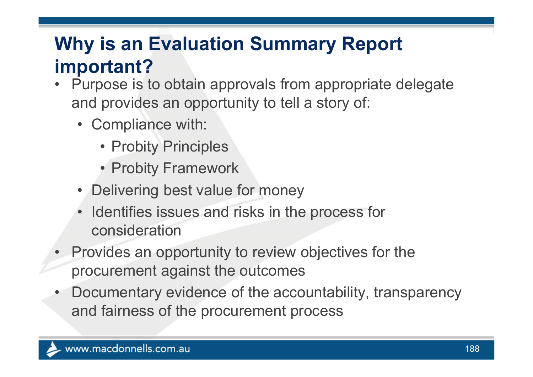#### **Why is an Evaluation Summary Report important?**

- • Purpose is to obtain approvals from appropriate delegate and provides an opportunity to tell a story of:
	- Compliance with:
		- Probity Principles
		- Probity Framework
	- Delivering best value for money
	- Identifies issues and risks in the process for consideration
- Provides an opportunity to review objectives for the procurement against the outcomes
- • Documentary evidence of the accountability, transparency and fairness of the procurement process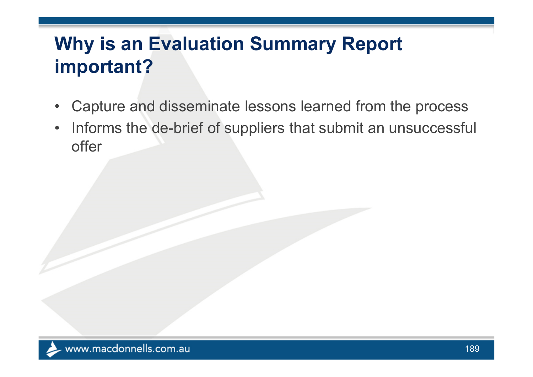#### **Why is an Evaluation Summary Report important?**

- $\bullet$ Capture and disseminate lessons learned from the process
- $\bullet$  Informs the de-brief of suppliers that submit an unsuccessful offer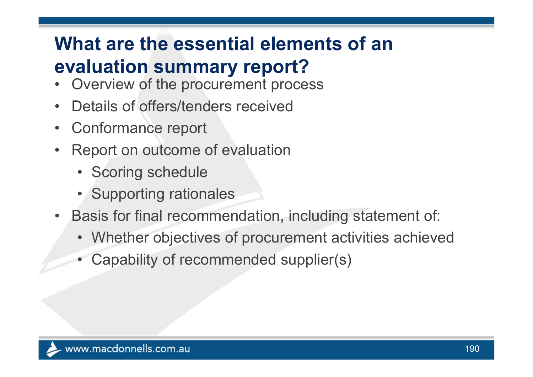## **What are the essential elements of an evaluation summary report?**

- •Overview of the procurement process
- •Details of offers/tenders received
- •Conformance report
- $\bullet$  Report on outcome of evaluation
	- Scoring schedule
	- Supporting rationales
- $\bullet$  Basis for final recommendation, including statement of:
	- Whether objectives of procurement activities achieved
	- •Capability of recommended supplier(s)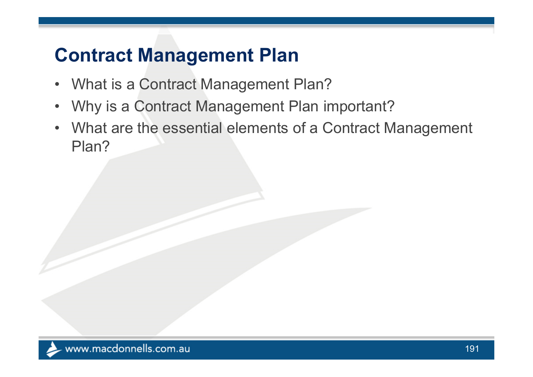#### **Contract Management Plan**

- What is a Contract Management Plan?
- $\bullet$ Why is a Contract Management Plan important?
- $\bullet$  What are the essential elements of a Contract Management Plan?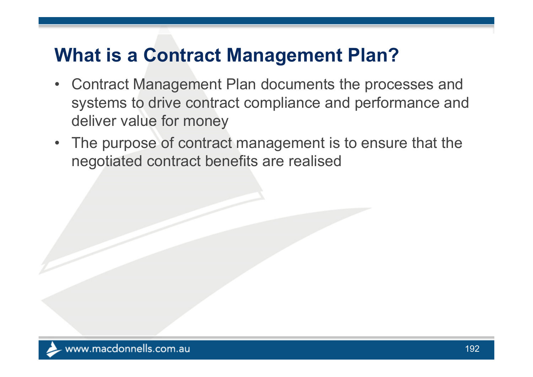#### **What is a Contract Management Plan?**

- $\bullet$  Contract Management Plan documents the processes and systems to drive contract compliance and performance and deliver value for money
- The purpose of contract management is to ensure that the negotiated contract benefits are realised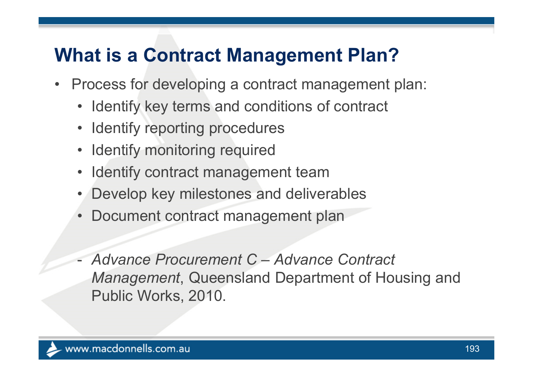#### **What is a Contract Management Plan?**

- $\bullet$  Process for developing a contract management plan:
	- Identify key terms and conditions of contract
	- Identify reporting procedures
	- Identify monitoring required
	- Identify contract management team
	- Develop key milestones and deliverables
	- Document contract management plan
	- - *Advance Procurement C – Advance Contract Management*, Queensland Department of Housing and Public Works, 2010.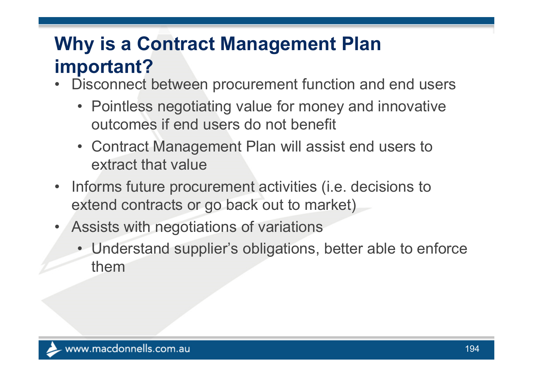### **Why is a Contract Management Plan important?**

- • Disconnect between procurement function and end users
	- Pointless negotiating value for money and innovative outcomes if end users do not benefit
	- Contract Management Plan will assist end users to extract that value
- Informs future procurement activities (i.e. decisions to extend contracts or go back out to market)
- • Assists with negotiations of variations
	- Understand supplier's obligations, better able to enforce them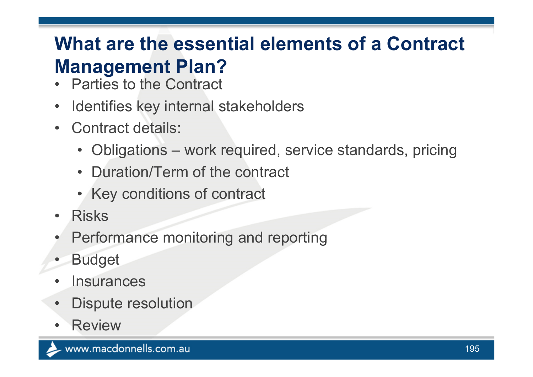### **What are the essential elements of a Contract Management Plan?**

- •Parties to the Contract
- •Identifies key internal stakeholders
- $\bullet$  Contract details:
	- Obligations work required, service standards, pricing
	- Duration/Term of the contract
	- Key conditions of contract
- •Risks
- •Performance monitoring and reporting
- •Budget
- •**Insurances**
- $\bullet$ Dispute resolution
- •Review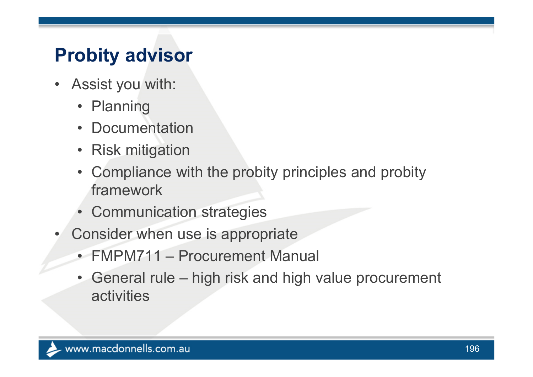#### **Probity advisor**

- $\bullet$  Assist you with:
	- Planning
	- Documentation
	- Risk mitigation
	- Compliance with the probity principles and probity framework
	- Communication strategies
- • Consider when use is appropriate
	- FMPM711 Procurement Manual
	- General rule high risk and high value procurement activities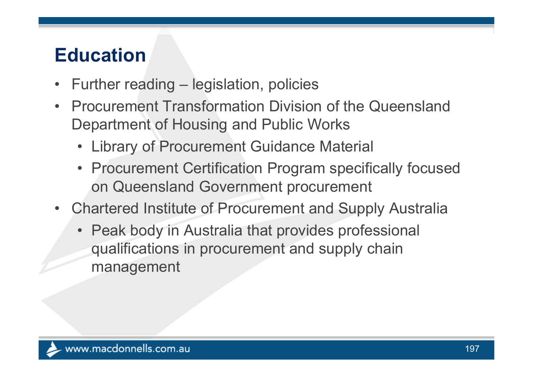#### **Education**

- $\bullet$ Further reading – legislation, policies
- $\bullet$  Procurement Transformation Division of the Queensland Department of Housing and Public Works
	- Library of Procurement Guidance Material
	- Procurement Certification Program specifically focused on Queensland Government procurement
- • Chartered Institute of Procurement and Supply Australia
	- Peak body in Australia that provides professional qualifications in procurement and supply chain management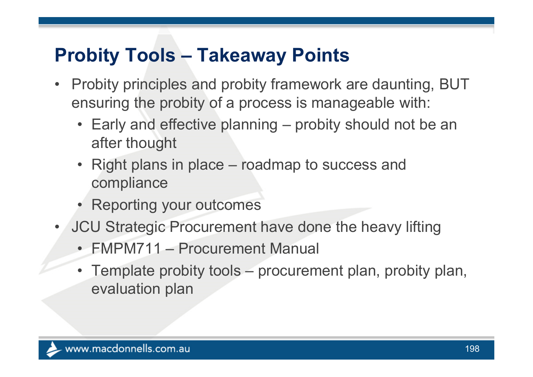#### **Probity Tools – Takeaway Points**

- $\bullet$  Probity principles and probity framework are daunting, BUT ensuring the probity of a process is manageable with:
	- Early and effective planning probity should not be an after thought
	- Right plans in place roadmap to success and compliance
	- Reporting your outcomes
- • JCU Strategic Procurement have done the heavy lifting
	- FMPM711 Procurement Manual
	- Template probity tools procurement plan, probity plan, evaluation plan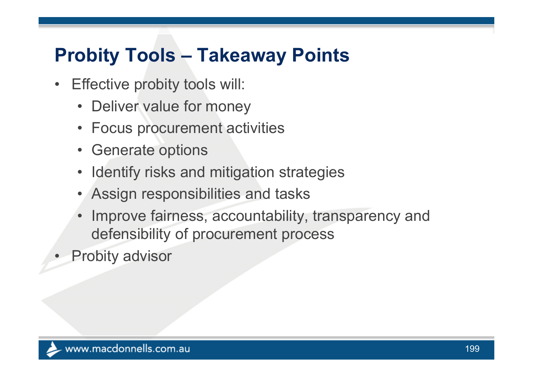#### **Probity Tools – Takeaway Points**

- $\bullet$  Effective probity tools will:
	- Deliver value for money
	- Focus procurement activities
	- Generate options
	- Identify risks and mitigation strategies
	- Assign responsibilities and tasks
	- • Improve fairness, accountability, transparency and defensibility of procurement process
- •Probity advisor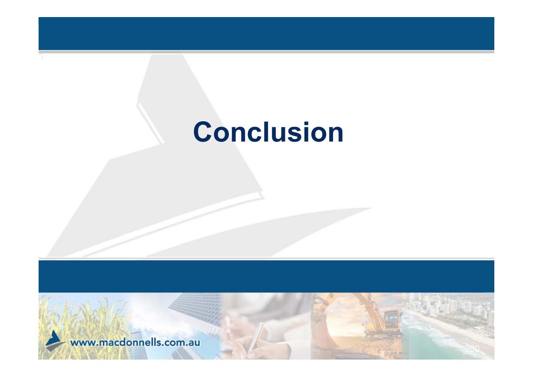# **Conclusion**

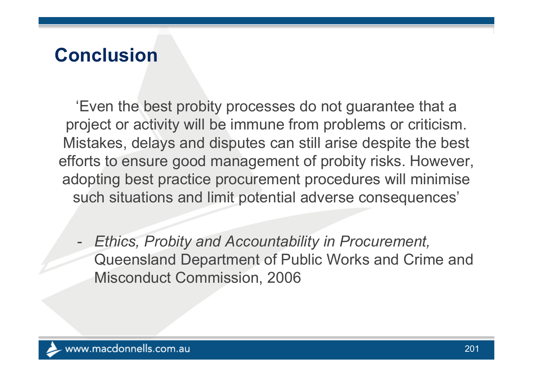#### **Conclusion**

'Even the best probity processes do not guarantee that a project or activity will be immune from problems or criticism. Mistakes, delays and disputes can still arise despite the best efforts to ensure good management of probity risks. However, adopting best practice procurement procedures will minimise such situations and limit potential adverse consequences'

- *Ethics, Probity and Accountability in Procurement,*  Queensland Department of Public Works and Crime and Misconduct Commission, 2006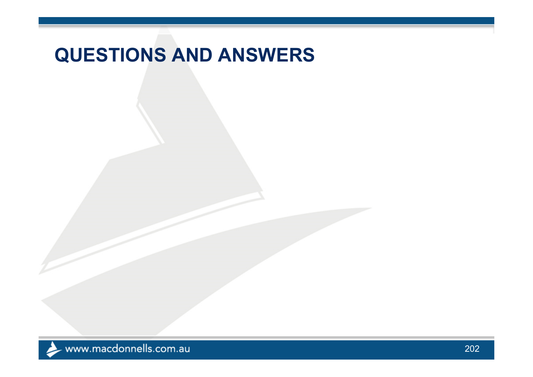#### **QUESTIONS AND ANSWERS**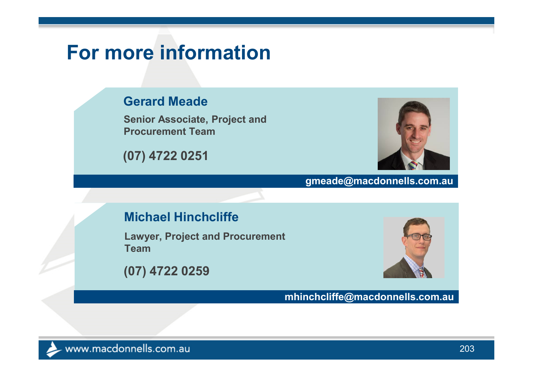#### **For more information**

#### **Gerard Meade**

**Senior Associate, Project and Procurement Team**

**(07) 4722 0251**



**gmeade@macdonnells.com.au**

#### **Michael Hinchcliffe**

**Lawyer, Project and Procurement Team**

**(07) 4722 0259**



**mhinchcliffe@macdonnells.com.au**